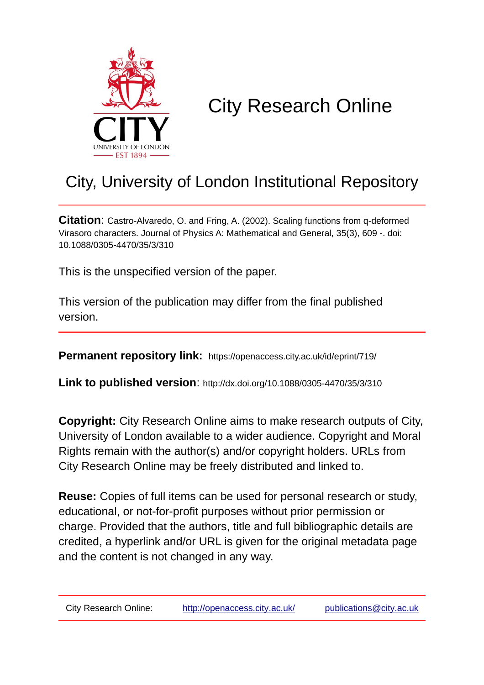

# City Research Online

## City, University of London Institutional Repository

**Citation**: Castro-Alvaredo, O. and Fring, A. (2002). Scaling functions from q-deformed Virasoro characters. Journal of Physics A: Mathematical and General, 35(3), 609 -. doi: 10.1088/0305-4470/35/3/310

This is the unspecified version of the paper.

This version of the publication may differ from the final published version.

**Permanent repository link:** https://openaccess.city.ac.uk/id/eprint/719/

**Link to published version**: http://dx.doi.org/10.1088/0305-4470/35/3/310

**Copyright:** City Research Online aims to make research outputs of City, University of London available to a wider audience. Copyright and Moral Rights remain with the author(s) and/or copyright holders. URLs from City Research Online may be freely distributed and linked to.

**Reuse:** Copies of full items can be used for personal research or study, educational, or not-for-profit purposes without prior permission or charge. Provided that the authors, title and full bibliographic details are credited, a hyperlink and/or URL is given for the original metadata page and the content is not changed in any way.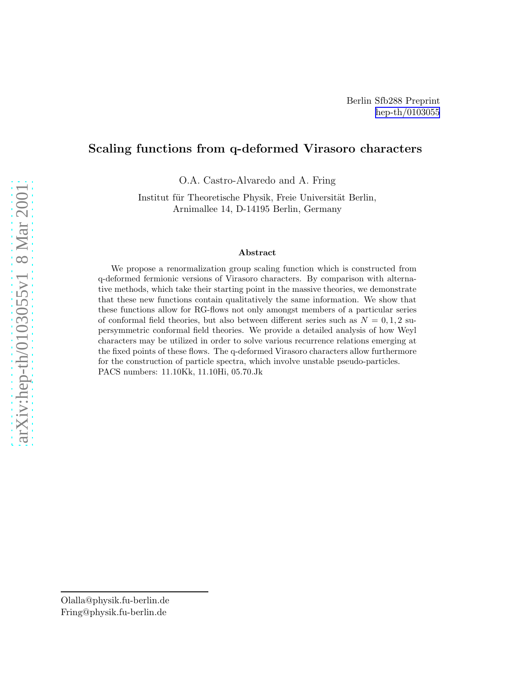## Scaling functions from q-deformed Virasoro characters

O.A. Castro-Alvaredo and A. Fring

Institut für Theoretische Physik, Freie Universität Berlin, Arnimallee 14, D-14195 Berlin, Germany

#### Abstract

We propose a renormalization group scaling function which is constructed from q-deformed fermionic versions of Virasoro characters. By comparison with alternative methods, which take their starting point in the massive theories, we demonstrate that these new functions contain qualitatively the same information. We show that these functions allow for RG-flows not only amongst members of a particular series of conformal field theories, but also between different series such as  $N = 0, 1, 2$  supersymmetric conformal field theories. We provide a detailed analysis of how Weyl characters may be utilized in order to solve various recurrence relations emerging at the fixed points of these flows. The q-deformed Virasoro characters allow furthermore for the construction of particle spectra, which involve unstable pseudo-particles. PACS numbers: 11.10Kk, 11.10Hi, 05.70.Jk

Olalla@physik.fu-berlin.de Fring@physik.fu-berlin.de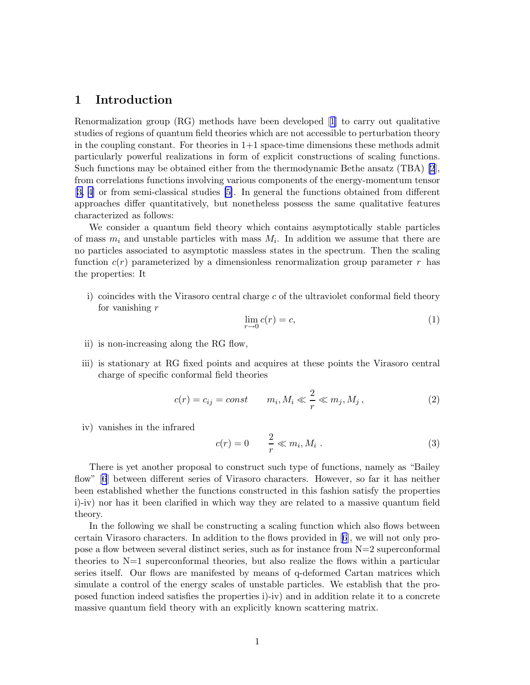## 1 Introduction

Renormalization group (RG) methods have been developed[[1](#page-30-0)] to carry out qualitative studies of regions of quantum field theories which are not accessible to perturbation theory in the coupling constant. For theories in  $1+1$  space-time dimensions these methods admit particularly powerful realizations in form of explicit constructions of scaling functions. Such functions may be obtained either from the thermodynamic Bethe ansatz (TBA) [\[2](#page-30-0)], from correlations functions involving various components of the energy-momentum tensor [\[3, 4](#page-30-0)] or from semi-classical studies [\[5\]](#page-30-0). In general the functions obtained from different approaches differ quantitatively, but nonetheless possess the same qualitative features characterized as follows:

We consider a quantum field theory which contains asymptotically stable particles of mass  $m_i$  and unstable particles with mass  $M_i$ . In addition we assume that there are no particles associated to asymptotic massless states in the spectrum. Then the scaling function  $c(r)$  parameterized by a dimensionless renormalization group parameter r has the properties: It

i) coincides with the Virasoro central charge c of the ultraviolet conformal field theory for vanishing r

$$
\lim_{r \to 0} c(r) = c,\tag{1}
$$

- ii) is non-increasing along the RG flow,
- iii) is stationary at RG fixed points and acquires at these points the Virasoro central charge of specific conformal field theories

$$
c(r) = c_{ij} = const \qquad m_i, M_i \ll \frac{2}{r} \ll m_j, M_j, \qquad (2)
$$

iv) vanishes in the infrared

$$
c(r) = 0 \qquad \frac{2}{r} \ll m_i, M_i \tag{3}
$$

There is yet another proposal to construct such type of functions, namely as "Bailey flow" [\[6](#page-30-0)] between different series of Virasoro characters. However, so far it has neither been established whether the functions constructed in this fashion satisfy the properties i)-iv) nor has it been clarified in which way they are related to a massive quantum field theory.

In the following we shall be constructing a scaling function which also flows between certain Virasoro characters. In addition to the flows provided in[[6](#page-30-0)], we will not only propose a flow between several distinct series, such as for instance from  $N=2$  superconformal theories to  $N=1$  superconformal theories, but also realize the flows within a particular series itself. Our flows are manifested by means of q-deformed Cartan matrices which simulate a control of the energy scales of unstable particles. We establish that the proposed function indeed satisfies the properties i)-iv) and in addition relate it to a concrete massive quantum field theory with an explicitly known scattering matrix.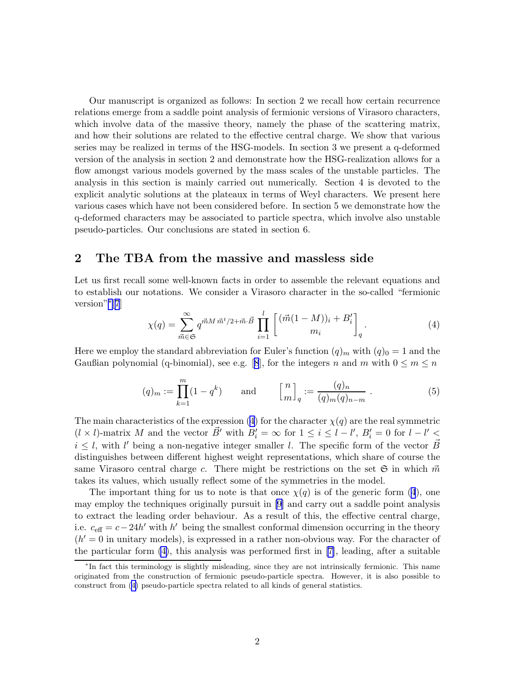<span id="page-3-0"></span>Our manuscript is organized as follows: In section 2 we recall how certain recurrence relations emerge from a saddle point analysis of fermionic versions of Virasoro characters, which involve data of the massive theory, namely the phase of the scattering matrix, and how their solutions are related to the effective central charge. We show that various series may be realized in terms of the HSG-models. In section 3 we present a q-deformed version of the analysis in section 2 and demonstrate how the HSG-realization allows for a flow amongst various models governed by the mass scales of the unstable particles. The analysis in this section is mainly carried out numerically. Section 4 is devoted to the explicit analytic solutions at the plateaux in terms of Weyl characters. We present here various cases which have not been considered before. In section 5 we demonstrate how the q-deformed characters may be associated to particle spectra, which involve also unstable pseudo-particles. Our conclusions are stated in section 6.

## 2 The TBA from the massive and massless side

Let us first recall some well-known facts in order to assemble the relevant equations and to establish our notations. We consider a Virasoro character in the so-called "fermionic version"<sup>∗</sup> [[7](#page-30-0)]

$$
\chi(q) = \sum_{\vec{m}\in\mathfrak{S}}^{\infty} q^{\vec{m}M\,\vec{m}^t/2 + \vec{m}\cdot\vec{B}} \prod_{i=1}^l \left[ \frac{(\vec{m}(1-M))_i + B'_i}{m_i} \right]_q.
$$
 (4)

Here we employ the standard abbreviation for Euler's function  $(q)_m$  with  $(q)_0 = 1$  and the Gaußianpolynomial (q-binomial), see e.g. [[8](#page-30-0)], for the integers n and m with  $0 \le m \le n$ 

$$
(q)_m := \prod_{k=1}^m (1 - q^k) \qquad \text{and} \qquad \left[\begin{matrix} n \\ m \end{matrix}\right]_q := \frac{(q)_n}{(q)_m (q)_{n-m}} \ . \tag{5}
$$

The main characteristics of the expression (4) for the character  $\chi(q)$  are the real symmetric  $(l \times l)$ -matrix M and the vector  $\vec{B}'$  with  $B'_i = \infty$  for  $1 \leq i \leq l - l'$ ,  $B'_i = 0$  for  $l - l' \leq$  $i \leq l$ , with l' being a non-negative integer smaller l. The specific form of the vector  $\vec{B}$ distinguishes between different highest weight representations, which share of course the same Virasoro central charge c. There might be restrictions on the set  $\mathfrak{S}$  in which  $\vec{m}$ takes its values, which usually reflect some of the symmetries in the model.

The important thing for us to note is that once  $\chi(q)$  is of the generic form (4), one may employ the techniques originally pursuit in [\[9\]](#page-30-0) and carry out a saddle point analysis to extract the leading order behaviour. As a result of this, the effective central charge, i.e.  $c_{\text{eff}} = c - 24h'$  with h' being the smallest conformal dimension occurring in the theory  $(h' = 0$  in unitary models), is expressed in a rather non-obvious way. For the character of the particular form (4), this analysis was performed first in [\[7\]](#page-30-0), leading, after a suitable

<sup>∗</sup> In fact this terminology is slightly misleading, since they are not intrinsically fermionic. This name originated from the construction of fermionic pseudo-particle spectra. However, it is also possible to construct from (4) pseudo-particle spectra related to all kinds of general statistics.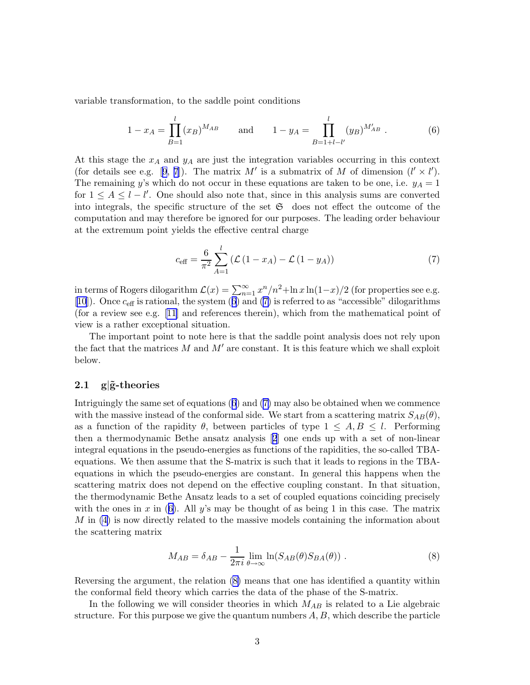<span id="page-4-0"></span>variable transformation, to the saddle point conditions

$$
1 - x_A = \prod_{B=1}^{l} (x_B)^{M_{AB}} \quad \text{and} \quad 1 - y_A = \prod_{B=1+l-l'}^{l} (y_B)^{M'_{AB}}.
$$
 (6)

At this stage the  $x_A$  and  $y_A$  are just the integration variables occurring in this context (fordetails see e.g. [[9](#page-30-0), [7](#page-30-0)]). The matrix  $M'$  is a submatrix of M of dimension  $(l' \times l')$ . The remaining y's which do not occur in these equations are taken to be one, i.e.  $y_A = 1$ for  $1 \leq A \leq l - l'$ . One should also note that, since in this analysis sums are converted into integrals, the specific structure of the set  $\mathfrak{S}$  does not effect the outcome of the computation and may therefore be ignored for our purposes. The leading order behaviour at the extremum point yields the effective central charge

$$
c_{\text{eff}} = \frac{6}{\pi^2} \sum_{A=1}^{l} \left( \mathcal{L} \left( 1 - x_A \right) - \mathcal{L} \left( 1 - y_A \right) \right) \tag{7}
$$

in terms of Rogers dilogarithm  $\mathcal{L}(x) = \sum_{n=1}^{\infty} x^n/n^2 + \ln x \ln(1-x)/2$  (for properties see e.g. [\[10](#page-30-0)]). Once  $c_{\text{eff}}$  is rational, the system (6) and (7) is referred to as "accessible" dilogarithms (for a review see e.g.[[11\]](#page-30-0) and references therein), which from the mathematical point of view is a rather exceptional situation.

The important point to note here is that the saddle point analysis does not rely upon the fact that the matrices  $M$  and  $M'$  are constant. It is this feature which we shall exploit below.

#### 2.1  $g|\tilde{g}$ -theories

Intriguingly the same set of equations (6) and (7) may also be obtained when we commence with the massive instead of the conformal side. We start from a scattering matrix  $S_{AB}(\theta)$ , as a function of the rapidity  $\theta$ , between particles of type  $1 \leq A, B \leq l$ . Performing then a thermodynamic Bethe ansatz analysis[[2](#page-30-0)] one ends up with a set of non-linear integral equations in the pseudo-energies as functions of the rapidities, the so-called TBAequations. We then assume that the S-matrix is such that it leads to regions in the TBAequations in which the pseudo-energies are constant. In general this happens when the scattering matrix does not depend on the effective coupling constant. In that situation, the thermodynamic Bethe Ansatz leads to a set of coupled equations coinciding precisely with the ones in x in (6). All y's may be thought of as being 1 in this case. The matrix M in [\(4\)](#page-3-0) is now directly related to the massive models containing the information about the scattering matrix

$$
M_{AB} = \delta_{AB} - \frac{1}{2\pi i} \lim_{\theta \to \infty} \ln(S_{AB}(\theta)S_{BA}(\theta)).
$$
 (8)

Reversing the argument, the relation (8) means that one has identified a quantity within the conformal field theory which carries the data of the phase of the S-matrix.

In the following we will consider theories in which  $M_{AB}$  is related to a Lie algebraic structure. For this purpose we give the quantum numbers  $A, B$ , which describe the particle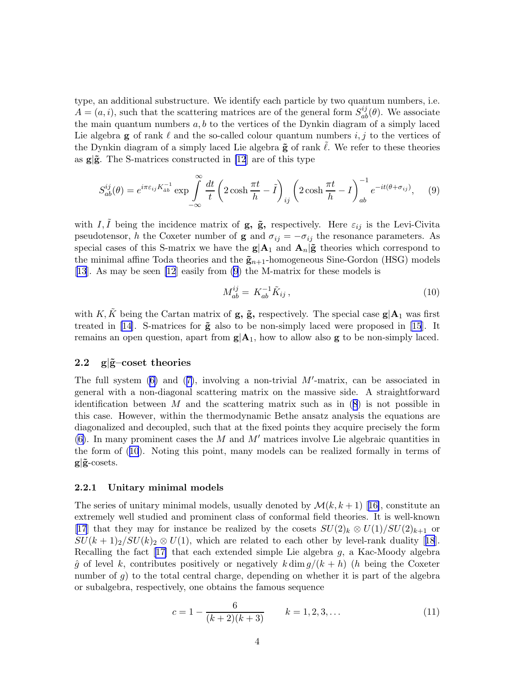<span id="page-5-0"></span>type, an additional substructure. We identify each particle by two quantum numbers, i.e.  $A = (a, i)$ , such that the scattering matrices are of the general form  $S_{ab}^{ij}(\theta)$ . We associate the main quantum numbers  $a, b$  to the vertices of the Dynkin diagram of a simply laced Lie algebra g of rank  $\ell$  and the so-called colour quantum numbers i, j to the vertices of the Dynkin diagram of a simply laced Lie algebra  $\tilde{g}$  of rank  $\ell$ . We refer to these theories as  $g|\tilde{g}$ . The S-matrices constructed in [\[12](#page-30-0)] are of this type

$$
S_{ab}^{ij}(\theta) = e^{i\pi\varepsilon_{ij}K_{ab}^{-1}} \exp\int\limits_{-\infty}^{\infty} \frac{dt}{t} \left(2\cosh\frac{\pi t}{h} - \tilde{I}\right)_{ij} \left(2\cosh\frac{\pi t}{h} - I\right)_{ab}^{-1} e^{-it(\theta + \sigma_{ij})},\tag{9}
$$

with I,  $\tilde{I}$  being the incidence matrix of **g**,  $\tilde{g}$ , respectively. Here  $\varepsilon_{ij}$  is the Levi-Civita pseudotensor, h the Coxeter number of **g** and  $\sigma_{ij} = -\sigma_{ij}$  the resonance parameters. As special cases of this S-matrix we have the  $g|A_1$  and  $A_n|\tilde{g}$  theories which correspond to the minimal affine Toda theories and the  $\tilde{\mathbf{g}}_{n+1}$ -homogeneous Sine-Gordon (HSG) models [\[13](#page-30-0)]. As may be seen [\[12](#page-30-0)] easily from (9) the M-matrix for these models is

$$
M_{ab}^{ij} = K_{ab}^{-1} \tilde{K}_{ij} , \qquad (10)
$$

with K,  $\tilde{K}$  being the Cartan matrix of **g**,  $\tilde{g}$ , respectively. The special case  $g|A_1$  was first treated in [\[14](#page-30-0)]. S-matrices for  $\tilde{g}$  also to be non-simply laced were proposed in [\[15](#page-30-0)]. It remains an open question, apart from  $g|A_1$ , how to allow also g to be non-simply laced.

#### 2.2 g| $\tilde{g}$ -coset theories

The full system  $(6)$  and  $(7)$  $(7)$ , involving a non-trivial M'-matrix, can be associated in general with a non-diagonal scattering matrix on the massive side. A straightforward identification between  $M$  and the scattering matrix such as in  $(8)$  $(8)$  $(8)$  is not possible in this case. However, within the thermodynamic Bethe ansatz analysis the equations are diagonalized and decoupled, such that at the fixed points they acquire precisely the form [\(6\)](#page-4-0). In many prominent cases the M and M' matrices involve Lie algebraic quantities in the form of (10). Noting this point, many models can be realized formally in terms of  $g|\tilde{g}$ -cosets.

#### 2.2.1 Unitary minimal models

Theseries of unitary minimal models, usually denoted by  $\mathcal{M}(k, k+1)$  [[16\]](#page-30-0), constitute an extremely well studied and prominent class of conformal field theories. It is well-known [\[17](#page-30-0)] that they may for instance be realized by the cosets  $SU(2)_k \otimes U(1)/SU(2)_{k+1}$  or  $SU(k+1)_2/SU(k)_2 \otimes U(1)$  $SU(k+1)_2/SU(k)_2 \otimes U(1)$  $SU(k+1)_2/SU(k)_2 \otimes U(1)$ , which are related to each other by level-rank duality [[18](#page-31-0)]. Recalling the fact [\[17\]](#page-30-0) that each extended simple Lie algebra g, a Kac-Moody algebra  $\hat{g}$  of level k, contributes positively or negatively k dim  $g/(k+h)$  (h being the Coxeter number of  $g$ ) to the total central charge, depending on whether it is part of the algebra or subalgebra, respectively, one obtains the famous sequence

$$
c = 1 - \frac{6}{(k+2)(k+3)}
$$
  $k = 1, 2, 3, ...$  (11)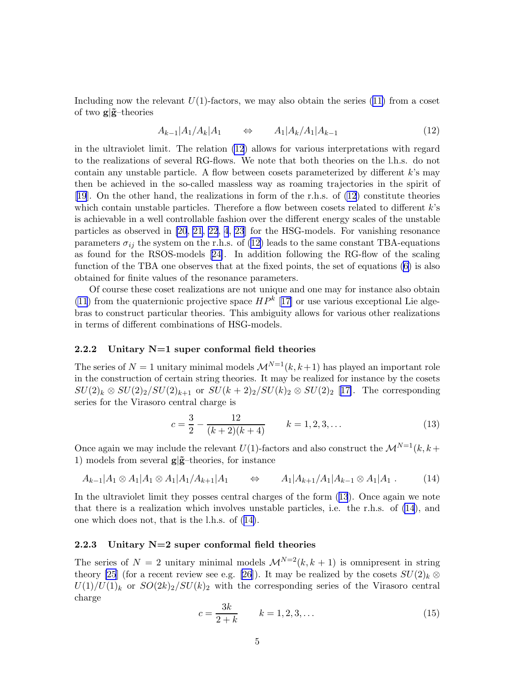<span id="page-6-0"></span>Including now the relevant  $U(1)$ -factors, we may also obtain the series ([11\)](#page-5-0) from a coset of two  $\mathbf{g}|\tilde{\mathbf{g}}$ -theories

$$
A_{k-1}|A_1/A_k|A_1 \qquad \Leftrightarrow \qquad A_1|A_k/A_1|A_{k-1} \tag{12}
$$

in the ultraviolet limit. The relation (12) allows for various interpretations with regard to the realizations of several RG-flows. We note that both theories on the l.h.s. do not contain any unstable particle. A flow between cosets parameterized by different  $k$ 's may then be achieved in the so-called massless way as roaming trajectories in the spirit of [\[19](#page-31-0)]. On the other hand, the realizations in form of the r.h.s. of (12) constitute theories which contain unstable particles. Therefore a flow between cosets related to different k's is achievable in a well controllable fashion over the different energy scales of the unstable particles as observed in [\[20](#page-31-0), [21](#page-31-0), [22](#page-31-0), [4](#page-30-0), [23](#page-31-0)] for the HSG-models. For vanishing resonance parameters  $\sigma_{ij}$  the system on the r.h.s. of (12) leads to the same constant TBA-equations as found for the RSOS-models[[24\]](#page-31-0). In addition following the RG-flow of the scaling function of the TBA one observes that at the fixed points, the set of equations [\(6\)](#page-4-0) is also obtained for finite values of the resonance parameters.

Of course these coset realizations are not unique and one may for instance also obtain [\(11](#page-5-0)) from the quaternionic projective space  $HP^k$  [[17\]](#page-30-0) or use various exceptional Lie algebras to construct particular theories. This ambiguity allows for various other realizations in terms of different combinations of HSG-models.

#### 2.2.2 Unitary N=1 super conformal field theories

The series of  $N = 1$  unitary minimal models  $\mathcal{M}^{N=1}(k, k+1)$  has played an important role in the construction of certain string theories. It may be realized for instance by the cosets  $SU(2)_k \otimes SU(2)_2/SU(2)_{k+1}$  or  $SU(k+2)_2/SU(k)_2 \otimes SU(2)_2$  [[17\]](#page-30-0). The corresponding series for the Virasoro central charge is

$$
c = \frac{3}{2} - \frac{12}{(k+2)(k+4)} \qquad k = 1, 2, 3, \dots \tag{13}
$$

Once again we may include the relevant  $U(1)$ -factors and also construct the  $\mathcal{M}^{N=1}(k, k+1)$ 1) models from several  $g|\tilde{g}$ –theories, for instance

$$
A_{k-1}|A_1 \otimes A_1|A_1 \otimes A_1|A_1/A_{k+1}|A_1 \qquad \Leftrightarrow \qquad A_1|A_{k+1}/A_1|A_{k-1} \otimes A_1|A_1 \; . \tag{14}
$$

In the ultraviolet limit they posses central charges of the form (13). Once again we note that there is a realization which involves unstable particles, i.e. the r.h.s. of (14), and one which does not, that is the l.h.s. of (14).

#### 2.2.3 Unitary  $N=2$  super conformal field theories

The series of  $N = 2$  unitary minimal models  $\mathcal{M}^{N=2}(k, k+1)$  is omnipresent in string theory [\[25](#page-31-0)] (for a recent review see e.g. [\[26](#page-31-0)]). It may be realized by the cosets  $SU(2)_k \otimes$  $U(1)/U(1)_k$  or  $SO(2k)_2/SU(k)_2$  with the corresponding series of the Virasoro central charge

$$
c = \frac{3k}{2+k} \qquad k = 1, 2, 3, \dots \tag{15}
$$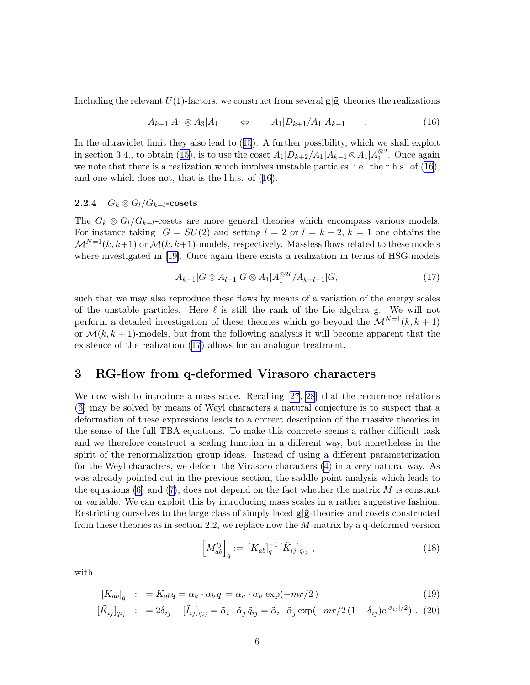<span id="page-7-0"></span>Including the relevant  $U(1)$ -factors, we construct from several  $g|\tilde{g}$ -theories the realizations

$$
A_{k-1}|A_1 \otimes A_3|A_1 \qquad \Leftrightarrow \qquad A_1|D_{k+1}/A_1|A_{k-1} \qquad . \tag{16}
$$

In the ultraviolet limit they also lead to ([15](#page-6-0)). A further possibility, which we shall exploit in section 3.4., to obtain ([15\)](#page-6-0), is to use the coset  $A_1|D_{k+2}/A_1|A_{k-1}\otimes A_1|A_1^{\otimes 2}$ . Once again we note that there is a realization which involves unstable particles, i.e. the r.h.s. of (16), and one which does not, that is the l.h.s. of (16).

#### 2.2.4  $G_k \otimes G_l/G_{k+l}$ -cosets

The  $G_k \otimes G_l/G_{k+l}$ -cosets are more general theories which encompass various models. For instance taking  $G = SU(2)$  and setting  $l = 2$  or  $l = k - 2$ ,  $k = 1$  one obtains the  $\mathcal{M}^{N=1}(k, k+1)$  or  $\mathcal{M}(k, k+1)$ -models, respectively. Massless flows related to these models where investigated in[[19\]](#page-31-0). Once again there exists a realization in terms of HSG-models

$$
A_{k-1}|G \otimes A_{l-1}|G \otimes A_1|A_1^{\otimes 2\ell}/A_{k+l-1}|G,
$$
\n
$$
(17)
$$

such that we may also reproduce these flows by means of a variation of the energy scales of the unstable particles. Here  $\ell$  is still the rank of the Lie algebra g. We will not perform a detailed investigation of these theories which go beyond the  $\mathcal{M}^{N=1}(k, k+1)$ or  $\mathcal{M}(k, k+1)$ -models, but from the following analysis it will become apparent that the existence of the realization (17) allows for an analogue treatment.

## 3 RG-flow from q-deformed Virasoro characters

We now wish to introduce a mass scale. Recalling [\[27](#page-31-0), [28](#page-31-0)] that the recurrence relations [\(6\)](#page-4-0) may be solved by means of Weyl characters a natural conjecture is to suspect that a deformation of these expressions leads to a correct description of the massive theories in the sense of the full TBA-equations. To make this concrete seems a rather difficult task and we therefore construct a scaling function in a different way, but nonetheless in the spirit of the renormalization group ideas. Instead of using a different parameterization for the Weyl characters, we deform the Virasoro characters [\(4\)](#page-3-0) in a very natural way. As was already pointed out in the previous section, the saddle point analysis which leads to the equations  $(6)$  and  $(7)$  $(7)$  $(7)$ , does not depend on the fact whether the matrix M is constant or variable. We can exploit this by introducing mass scales in a rather suggestive fashion. Restricting ourselves to the large class of simply laced  $g|\tilde{g}$ -theories and cosets constructed from these theories as in section 2.2, we replace now the M-matrix by a q-deformed version

$$
\left[M_{ab}^{ij}\right]_q := \left[K_{ab}\right]_q^{-1} \left[\tilde{K}_{ij}\right]_{\tilde{q}_{ij}},\tag{18}
$$

with

$$
[K_{ab}]_q : = K_{ab}q = \alpha_a \cdot \alpha_b q = \alpha_a \cdot \alpha_b \exp(-mr/2)
$$
\n(19)

$$
[\tilde{K}_{ij}]_{\tilde{q}_{ij}} : = 2\delta_{ij} - [\tilde{I}_{ij}]_{\tilde{q}_{ij}} = \tilde{\alpha}_i \cdot \tilde{\alpha}_j \tilde{q}_{ij} = \tilde{\alpha}_i \cdot \tilde{\alpha}_j \exp(-mr/2(1-\delta_{ij})e^{|\sigma_{ij}|/2})
$$
 (20)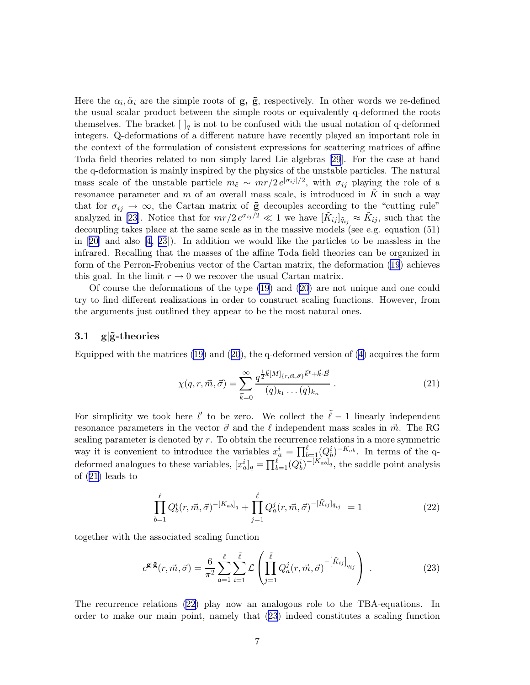<span id="page-8-0"></span>Here the  $\alpha_i, \tilde{\alpha}_i$  are the simple roots of **g**, **g**, respectively. In other words we re-defined the usual scalar product between the simple roots or equivalently q-deformed the roots themselves. The bracket  $[\,]_q$  is not to be confused with the usual notation of q-deformed integers. Q-deformations of a different nature have recently played an important role in the context of the formulation of consistent expressions for scattering matrices of affine Toda field theories related to non simply laced Lie algebras [\[29](#page-31-0)]. For the case at hand the q-deformation is mainly inspired by the physics of the unstable particles. The natural mass scale of the unstable particle  $m_{\tilde{c}} \sim mr/2 e^{|\sigma_{ij}|/2}$ , with  $\sigma_{ij}$  playing the role of a resonance parameter and  $m$  of an overall mass scale, is introduced in  $K$  in such a way that for  $\sigma_{ij} \to \infty$ , the Cartan matrix of  $\tilde{g}$  decouples according to the "cutting rule" analyzed in [\[23](#page-31-0)]. Notice that for  $mr/2 e^{\sigma_{ij}/2} \ll 1$  we have  $[\tilde{K}_{ij}]_{\tilde{q}_{ij}} \approx \tilde{K}_{ij}$ , such that the decoupling takes place at the same scale as in the massive models (see e.g. equation (51) in[[20\]](#page-31-0) and also [\[4,](#page-30-0) [23](#page-31-0)]). In addition we would like the particles to be massless in the infrared. Recalling that the masses of the affine Toda field theories can be organized in form of the Perron-Frobenius vector of the Cartan matrix, the deformation [\(19](#page-7-0)) achieves this goal. In the limit  $r \to 0$  we recover the usual Cartan matrix.

Of course the deformations of the type [\(19](#page-7-0)) and [\(20\)](#page-7-0) are not unique and one could try to find different realizations in order to construct scaling functions. However, from the arguments just outlined they appear to be the most natural ones.

#### 3.1  $g|\tilde{g}$ -theories

Equipped with the matrices  $(19)$  $(19)$  and  $(20)$  $(20)$  $(20)$ , the q-deformed version of  $(4)$  acquires the form

$$
\chi(q,r,\vec{m},\vec{\sigma}) = \sum_{\vec{k}=0}^{\infty} \frac{q^{\frac{1}{2}\vec{k}[M]_{\{r,\vec{m},\vec{\sigma}\}}\vec{k}^t + \vec{k}\cdot\vec{B}}}{(q)_{k_1} \dots (q)_{k_n}}.
$$
\n(21)

For simplicity we took here l' to be zero. We collect the  $\tilde{\ell} - 1$  linearly independent resonance parameters in the vector  $\vec{\sigma}$  and the  $\ell$  independent mass scales in  $\vec{m}$ . The RG scaling parameter is denoted by r. To obtain the recurrence relations in a more symmetric way it is convenient to introduce the variables  $x_a^i = \prod_{b=1}^{\ell} (Q_b^i)^{-K_{ab}}$ . In terms of the qdeformed analogues to these variables,  $[x_a^i]_q = \prod_{b=1}^{\ell} (Q_b^i)^{-[K_{ab}]}_q$ , the saddle point analysis of (21) leads to

$$
\prod_{b=1}^{\ell} Q_b^i(r, \vec{m}, \vec{\sigma})^{-[K_{ab}]_q} + \prod_{j=1}^{\tilde{\ell}} Q_a^j(r, \vec{m}, \vec{\sigma})^{-[\tilde{K}_{ij}]\tilde{q}_{ij}} = 1
$$
\n(22)

together with the associated scaling function

$$
c^{\mathbf{g}|\tilde{\mathbf{g}}}(r,\vec{m},\vec{\sigma}) = \frac{6}{\pi^2} \sum_{a=1}^{\ell} \sum_{i=1}^{\tilde{\ell}} \mathcal{L} \left( \prod_{j=1}^{\tilde{\ell}} Q_a^j(r,\vec{m},\vec{\sigma})^{-\left[\tilde{K}_{ij}\right]}_{q_{ij}} \right) . \tag{23}
$$

The recurrence relations (22) play now an analogous role to the TBA-equations. In order to make our main point, namely that (23) indeed constitutes a scaling function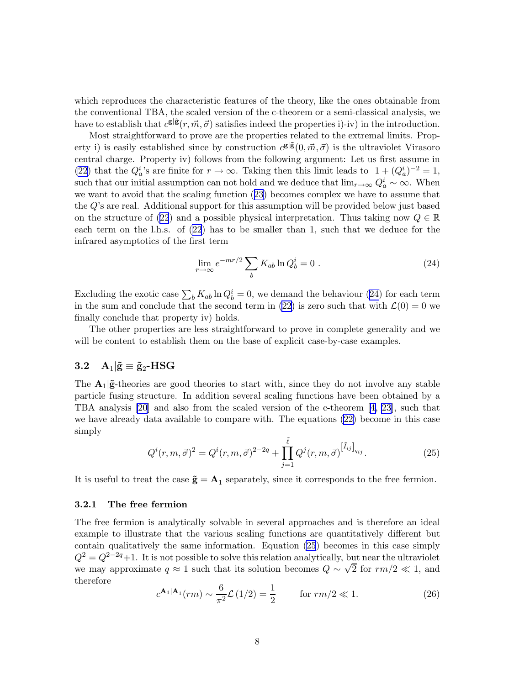<span id="page-9-0"></span>which reproduces the characteristic features of the theory, like the ones obtainable from the conventional TBA, the scaled version of the c-theorem or a semi-classical analysis, we have to establish that  $c^{g|\tilde{g}}(r, \vec{m}, \vec{\sigma})$  satisfies indeed the properties i)-iv) in the introduction.

Most straightforward to prove are the properties related to the extremal limits. Property i) is easily established since by construction  $c^{g|\tilde{g}}(0, \vec{m}, \vec{\sigma})$  is the ultraviolet Virasoro central charge. Property iv) follows from the following argument: Let us first assume in [\(22](#page-8-0)) that the  $Q_a^i$ 's are finite for  $r \to \infty$ . Taking then this limit leads to  $1 + (Q_a^i)^{-2} = 1$ , such that our initial assumption can not hold and we deduce that  $\lim_{r\to\infty} Q_a^i \sim \infty$ . When we want to avoid that the scaling function ([23](#page-8-0)) becomes complex we have to assume that the Q's are real. Additional support for this assumption will be provided below just based on the structure of ([22](#page-8-0)) and a possible physical interpretation. Thus taking now  $Q \in \mathbb{R}$ each term on the l.h.s. of [\(22](#page-8-0)) has to be smaller than 1, such that we deduce for the infrared asymptotics of the first term

$$
\lim_{r \to \infty} e^{-mr/2} \sum_{b} K_{ab} \ln Q_b^i = 0 \tag{24}
$$

Excluding the exotic case  $\sum_{b} K_{ab} \ln Q_b^i = 0$ , we demand the behaviour (24) for each term in the sum and conclude that the second term in [\(22\)](#page-8-0) is zero such that with  $\mathcal{L}(0) = 0$  we finally conclude that property iv) holds.

The other properties are less straightforward to prove in complete generality and we will be content to establish them on the base of explicit case-by-case examples.

## 3.2  $A_1|\tilde{g} \equiv \tilde{g}_2 - HSG$

The  $A_1|\tilde{g}$ -theories are good theories to start with, since they do not involve any stable particle fusing structure. In addition several scaling functions have been obtained by a TBA analysis [\[20](#page-31-0)] and also from the scaled version of the c-theorem [\[4,](#page-30-0) [23](#page-31-0)], such that we have already data available to compare with. The equations [\(22\)](#page-8-0) become in this case simply

$$
Q^{i}(r, m, \vec{\sigma})^{2} = Q^{i}(r, m, \vec{\sigma})^{2-2q} + \prod_{j=1}^{\tilde{\ell}} Q^{j}(r, m, \vec{\sigma})^{[\tilde{I}_{ij}]}_{qij}.
$$
\n(25)

It is useful to treat the case  $\tilde{\mathbf{g}} = \mathbf{A}_1$  separately, since it corresponds to the free fermion.

#### 3.2.1 The free fermion

The free fermion is analytically solvable in several approaches and is therefore an ideal example to illustrate that the various scaling functions are quantitatively different but contain qualitatively the same information. Equation (25) becomes in this case simply  $Q^2 = Q^{2-2q}+1$ . It is not possible to solve this relation analytically, but near the ultraviolet we may approximate  $q \approx 1$  such that its solution becomes  $Q \sim \sqrt{2}$  for  $rm/2 \ll 1$ , and therefore

$$
c^{\mathbf{A}_1|\mathbf{A}_1}(rm) \sim \frac{6}{\pi^2} \mathcal{L}(1/2) = \frac{1}{2} \quad \text{for } rm/2 \ll 1.
$$
 (26)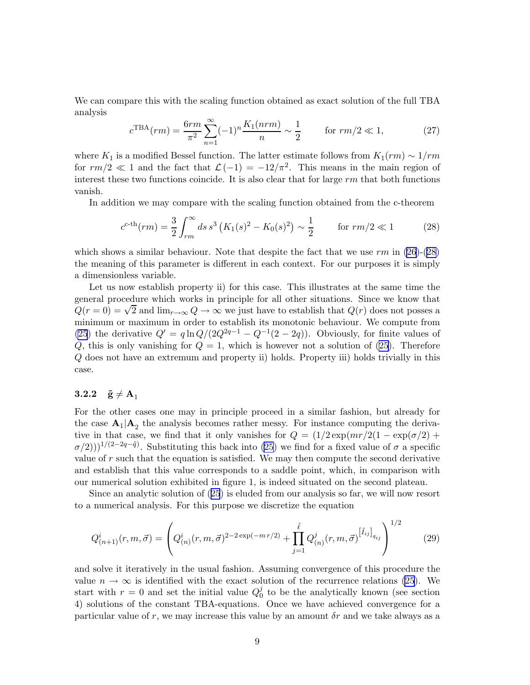<span id="page-10-0"></span>We can compare this with the scaling function obtained as exact solution of the full TBA analysis

$$
c^{\text{TBA}}(rm) = \frac{6rm}{\pi^2} \sum_{n=1}^{\infty} (-1)^n \frac{K_1(nrm)}{n} \sim \frac{1}{2} \qquad \text{for } rm/2 \ll 1,
$$
 (27)

where K<sub>1</sub> is a modified Bessel function. The latter estimate follows from  $K_1(rm) \sim 1/rm$ for  $rm/2 \ll 1$  and the fact that  $\mathcal{L}(-1) = -12/\pi^2$ . This means in the main region of interest these two functions coincide. It is also clear that for large  $rm$  that both functions vanish.

In addition we may compare with the scaling function obtained from the c-theorem

$$
c^{\text{c-th}}(rm) = \frac{3}{2} \int_{rm}^{\infty} ds \, s^3 \left( K_1(s)^2 - K_0(s)^2 \right) \sim \frac{1}{2} \qquad \text{for } rm/2 \ll 1 \tag{28}
$$

which shows a similar behaviour. Note that despite the fact that we use  $rm$  in  $(26)-(28)$  $(26)-(28)$ the meaning of this parameter is different in each context. For our purposes it is simply a dimensionless variable.

Let us now establish property ii) for this case. This illustrates at the same time the general procedure which works in principle for all other situations. Since we know that  $Q(r=0) = \sqrt{2}$  and  $\lim_{r\to\infty} Q \to \infty$  we just have to establish that  $Q(r)$  does not posses a minimum or maximum in order to establish its monotonic behaviour. We compute from [\(25](#page-9-0)) the derivative  $Q' = q \ln Q/(2Q^{2q-1} - Q^{-1}(2-2q))$ . Obviously, for finite values of  $Q$ , this is only vanishing for  $Q = 1$ , which is however not a solution of [\(25\)](#page-9-0). Therefore Q does not have an extremum and property ii) holds. Property iii) holds trivially in this case.

#### 3.2.2  $\tilde{g} \neq A_1$

For the other cases one may in principle proceed in a similar fashion, but already for the case  $A_1|A_2$  the analysis becomes rather messy. For instance computing the derivative in that case, we find that it only vanishes for  $Q = (1/2 \exp(mr/2(1 - \exp(\sigma/2)) +$  $\sigma(2))$ <sup>1/(2-2q- $\tilde{q}$ ). Substituting this back into [\(25](#page-9-0)) we find for a fixed value of  $\sigma$  a specific</sup> value of  $r$  such that the equation is satisfied. We may then compute the second derivative and establish that this value corresponds to a saddle point, which, in comparison with our numerical solution exhibited in figure 1, is indeed situated on the second plateau.

Since an analytic solution of ([25](#page-9-0)) is eluded from our analysis so far, we will now resort to a numerical analysis. For this purpose we discretize the equation

$$
Q_{(n+1)}^i(r,m,\vec{\sigma}) = \left( Q_{(n)}^i(r,m,\vec{\sigma})^{2-2\exp(-m\,r/2)} + \prod_{j=1}^{\tilde{\ell}} Q_{(n)}^j(r,m,\vec{\sigma})^{[\tilde{I}_{ij}]}_{q_{ij}} \right)^{1/2} \tag{29}
$$

and solve it iteratively in the usual fashion. Assuming convergence of this procedure the value  $n \to \infty$  is identified with the exact solution of the recurrence relations [\(25\)](#page-9-0). We start with  $r = 0$  and set the initial value  $Q_0^j$  $\int_0^j$  to be the analytically known (see section 4) solutions of the constant TBA-equations. Once we have achieved convergence for a particular value of r, we may increase this value by an amount  $\delta r$  and we take always as a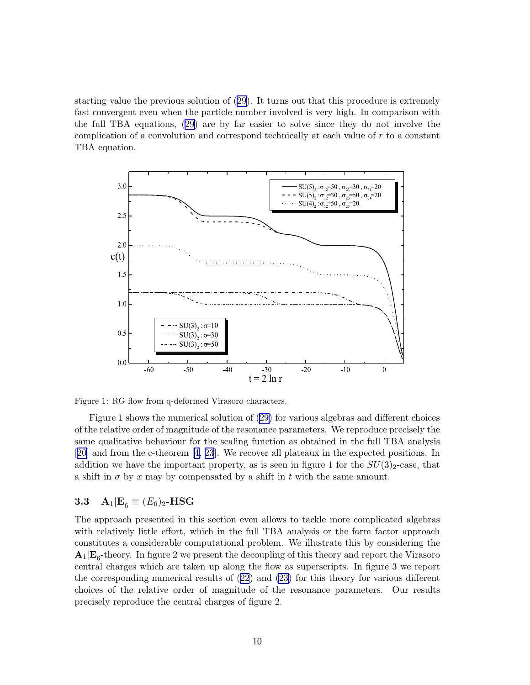starting value the previous solution of [\(29\)](#page-10-0). It turns out that this procedure is extremely fast convergent even when the particle number involved is very high. In comparison with the full TBA equations, ([29\)](#page-10-0) are by far easier to solve since they do not involve the complication of a convolution and correspond technically at each value of r to a constant TBA equation.





Figure 1 shows the numerical solution of ([29\)](#page-10-0) for various algebras and different choices of the relative order of magnitude of the resonance parameters. We reproduce precisely the same qualitative behaviour for the scaling function as obtained in the full TBA analysis [\[20](#page-31-0)] and from the c-theorem[[4](#page-30-0), [23](#page-31-0)]. We recover all plateaux in the expected positions. In addition we have the important property, as is seen in figure 1 for the  $SU(3)_2$ -case, that a shift in  $\sigma$  by x may by compensated by a shift in t with the same amount.

## 3.3  $A_1|E_6 \equiv (E_6)_2$ -HSG

The approach presented in this section even allows to tackle more complicated algebras with relatively little effort, which in the full TBA analysis or the form factor approach constitutes a considerable computational problem. We illustrate this by considering the  $\mathbf{A}_1|\mathbf{E}_6$ -theory. In figure 2 we present the decoupling of this theory and report the Virasoro central charges which are taken up along the flow as superscripts. In figure 3 we report the corresponding numerical results of ([22](#page-8-0)) and [\(23](#page-8-0)) for this theory for various different choices of the relative order of magnitude of the resonance parameters. Our results precisely reproduce the central charges of figure 2.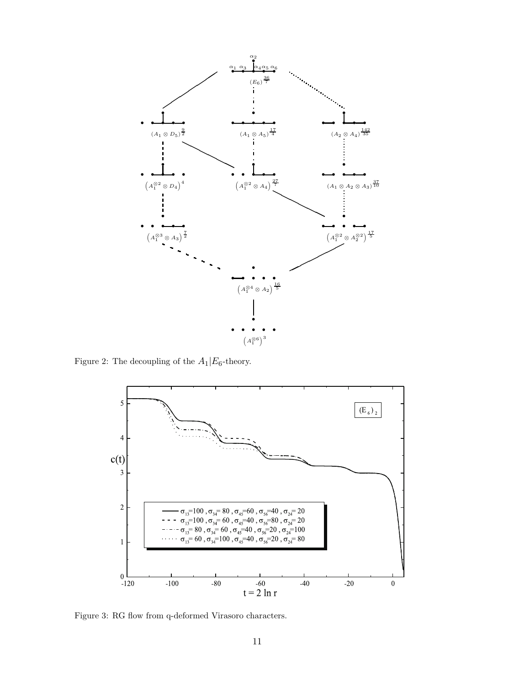

Figure 2: The decoupling of the  $A_1|E_6$ -theory.



Figure 3: RG flow from q-deformed Virasoro characters.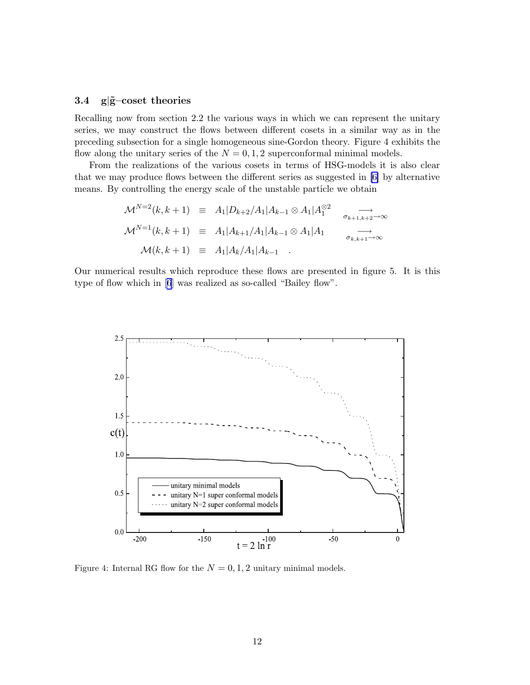#### 3.4  $g|\tilde{g}-\cos\theta$  theories

Recalling now from section 2.2 the various ways in which we can represent the unitary series, we may construct the flows between different cosets in a similar way as in the preceding subsection for a single homogeneous sine-Gordon theory. Figure 4 exhibits the flow along the unitary series of the  $N = 0, 1, 2$  superconformal minimal models.

From the realizations of the various cosets in terms of HSG-models it is also clear that we may produce flows between the different series as suggested in [\[6\]](#page-30-0) by alternative means. By controlling the energy scale of the unstable particle we obtain

$$
\mathcal{M}^{N=2}(k, k+1) \equiv A_1 | D_{k+2} / A_1 | A_{k-1} \otimes A_1 | A_1^{\otimes 2} \longrightarrow
$$
  

$$
\mathcal{M}^{N=1}(k, k+1) \equiv A_1 | A_{k+1} / A_1 | A_{k-1} \otimes A_1 | A_1 \longrightarrow
$$
  

$$
\mathcal{M}(k, k+1) \equiv A_1 | A_k / A_1 | A_{k-1} .
$$

Our numerical results which reproduce these flows are presented in figure 5. It is this type of flow which in[[6](#page-30-0)] was realized as so-called "Bailey flow".



Figure 4: Internal RG flow for the  $N = 0, 1, 2$  unitary minimal models.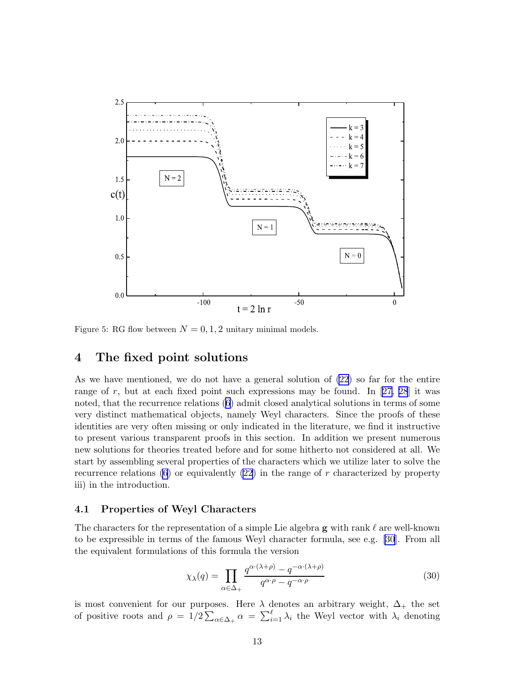<span id="page-14-0"></span>

Figure 5: RG flow between  $N = 0, 1, 2$  unitary minimal models.

## 4 The fixed point solutions

As we have mentioned, we do not have a general solution of [\(22\)](#page-8-0) so far for the entire rangeof r, but at each fixed point such expressions may be found. In  $[27, 28]$  $[27, 28]$  $[27, 28]$  $[27, 28]$  $[27, 28]$  it was noted, that the recurrence relations ([6](#page-4-0)) admit closed analytical solutions in terms of some very distinct mathematical objects, namely Weyl characters. Since the proofs of these identities are very often missing or only indicated in the literature, we find it instructive to present various transparent proofs in this section. In addition we present numerous new solutions for theories treated before and for some hitherto not considered at all. We start by assembling several properties of the characters which we utilize later to solve the recurrence relations  $(6)$  or equivalently  $(22)$  in the range of r characterized by property iii) in the introduction.

## 4.1 Properties of Weyl Characters

The characters for the representation of a simple Lie algebra  $g$  with rank  $\ell$  are well-known to be expressible in terms of the famous Weyl character formula, see e.g. [\[30](#page-31-0)]. From all the equivalent formulations of this formula the version

$$
\chi_{\lambda}(q) = \prod_{\alpha \in \Delta_+} \frac{q^{\alpha \cdot (\lambda + \rho)} - q^{-\alpha \cdot (\lambda + \rho)}}{q^{\alpha \cdot \rho} - q^{-\alpha \cdot \rho}}
$$
(30)

is most convenient for our purposes. Here  $\lambda$  denotes an arbitrary weight,  $\Delta_+$  the set of positive roots and  $\rho = 1/2 \sum_{\alpha \in \Delta_+} \alpha = \sum_{i=1}^{\ell} \lambda_i$  the Weyl vector with  $\lambda_i$  denoting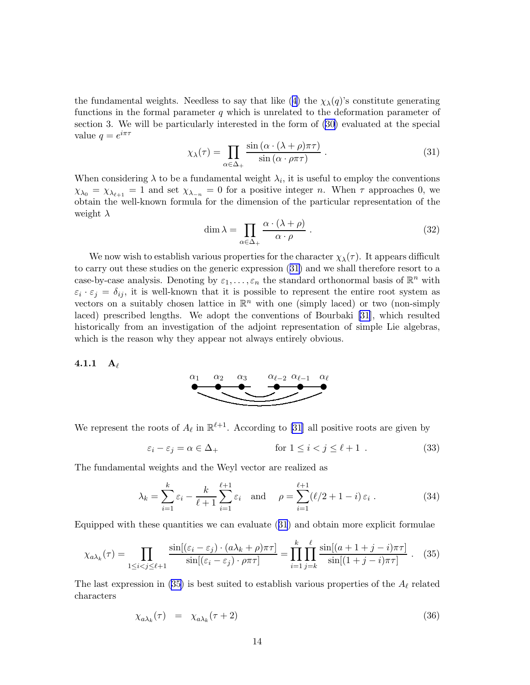<span id="page-15-0"></span>the fundamental weights. Needless to say that like ([4](#page-3-0)) the  $\chi_{\lambda}(q)$ 's constitute generating functions in the formal parameter  $q$  which is unrelated to the deformation parameter of section 3. We will be particularly interested in the form of [\(30\)](#page-14-0) evaluated at the special value  $q = e^{i\pi\tau}$ 

$$
\chi_{\lambda}(\tau) = \prod_{\alpha \in \Delta_{+}} \frac{\sin(\alpha \cdot (\lambda + \rho)\pi\tau)}{\sin(\alpha \cdot \rho\pi\tau)}.
$$
\n(31)

When considering  $\lambda$  to be a fundamental weight  $\lambda_i$ , it is useful to employ the conventions  $\chi_{\lambda_0} = \chi_{\lambda_{\ell+1}} = 1$  and set  $\chi_{\lambda_{-n}} = 0$  for a positive integer n. When  $\tau$  approaches 0, we obtain the well-known formula for the dimension of the particular representation of the weight  $\lambda$ 

$$
\dim \lambda = \prod_{\alpha \in \Delta_+} \frac{\alpha \cdot (\lambda + \rho)}{\alpha \cdot \rho} \ . \tag{32}
$$

We now wish to establish various properties for the character  $\chi_{\lambda}(\tau)$ . It appears difficult to carry out these studies on the generic expression (31) and we shall therefore resort to a case-by-case analysis. Denoting by  $\varepsilon_1, \ldots, \varepsilon_n$  the standard orthonormal basis of  $\mathbb{R}^n$  with  $\varepsilon_i \cdot \varepsilon_j = \delta_{ij}$ , it is well-known that it is possible to represent the entire root system as vectors on a suitably chosen lattice in  $\mathbb{R}^n$  with one (simply laced) or two (non-simply laced) prescribed lengths. We adopt the conventions of Bourbaki [\[31](#page-31-0)], which resulted historically from an investigation of the adjoint representation of simple Lie algebras, which is the reason why they appear not always entirely obvious.

#### 4.1.1  $A_{\ell}$



We represent the roots of  $A_{\ell}$  in  $\mathbb{R}^{\ell+1}$ . According to [\[31](#page-31-0)] all positive roots are given by

$$
\varepsilon_i - \varepsilon_j = \alpha \in \Delta_+ \qquad \text{for } 1 \le i < j \le \ell + 1 . \tag{33}
$$

The fundamental weights and the Weyl vector are realized as

$$
\lambda_k = \sum_{i=1}^k \varepsilon_i - \frac{k}{\ell+1} \sum_{i=1}^{\ell+1} \varepsilon_i \quad \text{and} \quad \rho = \sum_{i=1}^{\ell+1} (\ell/2 + 1 - i) \varepsilon_i \ . \tag{34}
$$

Equipped with these quantities we can evaluate (31) and obtain more explicit formulae

$$
\chi_{a\lambda_k}(\tau) = \prod_{1 \le i < j \le \ell+1} \frac{\sin[(\varepsilon_i - \varepsilon_j) \cdot (a\lambda_k + \rho)\pi\tau]}{\sin[(\varepsilon_i - \varepsilon_j) \cdot \rho\pi\tau]} = \prod_{i=1}^k \prod_{j=k}^\ell \frac{\sin[(a+1+j-i)\pi\tau]}{\sin[(1+j-i)\pi\tau]} \ . \tag{35}
$$

The last expression in (35) is best suited to establish various properties of the  $A_{\ell}$  related characters

$$
\chi_{a\lambda_k}(\tau) = \chi_{a\lambda_k}(\tau + 2) \tag{36}
$$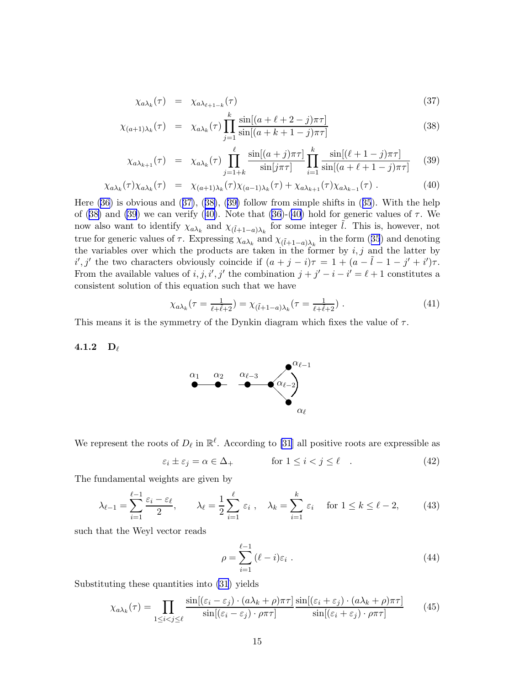$$
\chi_{a\lambda_k}(\tau) = \chi_{a\lambda_{\ell+1-k}}(\tau) \tag{37}
$$

$$
\chi_{(a+1)\lambda_k}(\tau) = \chi_{a\lambda_k}(\tau) \prod_{j=1}^k \frac{\sin[(a+\ell+2-j)\pi\tau]}{\sin[(a+k+1-j)\pi\tau]}
$$
(38)

$$
\chi_{a\lambda_{k+1}}(\tau) = \chi_{a\lambda_k}(\tau) \prod_{j=1+k}^{\ell} \frac{\sin[(a+j)\pi\tau]}{\sin[j\pi\tau]} \prod_{i=1}^{k} \frac{\sin[(\ell+1-j)\pi\tau]}{\sin[(a+\ell+1-j)\pi\tau]} \tag{39}
$$

$$
\chi_{a\lambda_k}(\tau)\chi_{a\lambda_k}(\tau) = \chi_{(a+1)\lambda_k}(\tau)\chi_{(a-1)\lambda_k}(\tau) + \chi_{a\lambda_{k+1}}(\tau)\chi_{a\lambda_{k-1}}(\tau) \ . \tag{40}
$$

Here [\(36\)](#page-15-0) is obvious and ([37\)](#page-15-0), ([38\)](#page-15-0), ([39\)](#page-15-0) follow from simple shifts in ([35](#page-15-0)). With the help of ([38\)](#page-15-0) and [\(39](#page-15-0)) we can verify ([40\)](#page-15-0). Note that [\(36](#page-15-0))-[\(40\)](#page-15-0) hold for generic values of  $\tau$ . We now also want to identify  $\chi_{a\lambda_k}$  and  $\chi_{(\tilde{l}+1-a)\lambda_k}$  for some integer  $\tilde{l}$ . This is, however, not true for generic values of  $\tau$ . Expressing  $\chi_{a\lambda_k}$  and  $\chi_{(\tilde{l}+1-a)\lambda_k}$  in the form ([35](#page-15-0)) and denoting the variables over which the products are taken in the former by  $i, j$  and the latter by  $i', j'$  the two characters obviously coincide if  $(a + j - i)\tau = 1 + (a - \tilde{l} - 1 - j' + i')\tau$ . From the available values of  $i, j, i', j'$  the combination  $j + j' - i - i' = \ell + 1$  constitutes a consistent solution of this equation such that we have

$$
\chi_{a\lambda_k}(\tau = \frac{1}{\ell + \tilde{\ell} + 2}) = \chi_{(\tilde{\ell} + 1 - a)\lambda_k}(\tau = \frac{1}{\ell + \tilde{\ell} + 2})\ .
$$
 (41)

This means it is the symmetry of the Dynkin diagram which fixes the value of  $\tau$ .

4.1.2  $D_{\ell}$ 



We represent the roots of  $D_{\ell}$  in  $\mathbb{R}^{\ell}$ . According to [\[31](#page-31-0)] all positive roots are expressible as

$$
\varepsilon_i \pm \varepsilon_j = \alpha \in \Delta_+ \qquad \text{for } 1 \le i < j \le \ell \quad . \tag{42}
$$

The fundamental weights are given by

$$
\lambda_{\ell-1} = \sum_{i=1}^{\ell-1} \frac{\varepsilon_i - \varepsilon_\ell}{2}, \qquad \lambda_\ell = \frac{1}{2} \sum_{i=1}^{\ell} \varepsilon_i, \quad \lambda_k = \sum_{i=1}^k \varepsilon_i \quad \text{for } 1 \le k \le \ell - 2,\tag{43}
$$

such that the Weyl vector reads

$$
\rho = \sum_{i=1}^{\ell-1} (\ell - i)\varepsilon_i . \tag{44}
$$

Substituting these quantities into [\(31](#page-15-0)) yields

$$
\chi_{a\lambda_k}(\tau) = \prod_{1 \le i < j \le \ell} \frac{\sin[(\varepsilon_i - \varepsilon_j) \cdot (a\lambda_k + \rho)\pi\tau]}{\sin[(\varepsilon_i - \varepsilon_j) \cdot \rho\pi\tau]} \frac{\sin[(\varepsilon_i + \varepsilon_j) \cdot (a\lambda_k + \rho)\pi\tau]}{\sin[(\varepsilon_i + \varepsilon_j) \cdot \rho\pi\tau]} \tag{45}
$$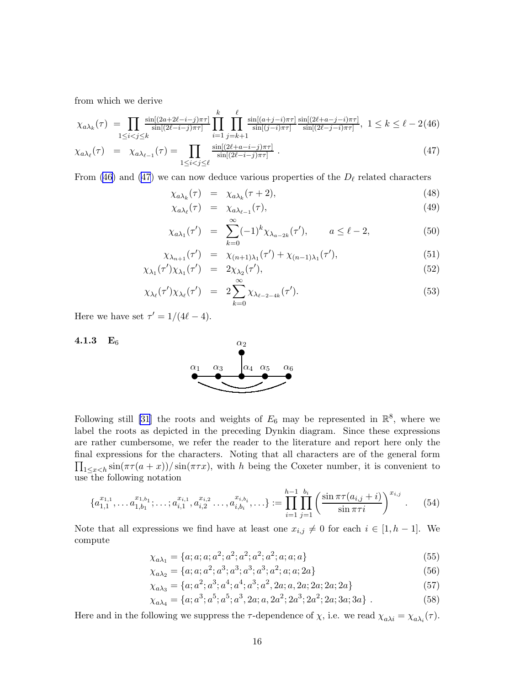<span id="page-17-0"></span>from which we derive

$$
\chi_{a\lambda_k}(\tau) = \prod_{1 \le i < j \le k} \frac{\sin[(2a+2\ell-i-j)\pi\tau]}{\sin[(2\ell-i-j)\pi\tau]} \prod_{i=1}^k \prod_{j=k+1}^\ell \frac{\sin[(a+j-i)\pi\tau]}{\sin[(j-i)\pi\tau]} \frac{\sin[(2\ell+a-j-i)\pi\tau]}{\sin[(2\ell-j-i)\pi\tau]}, \ 1 \le k \le \ell - 2(46)
$$
\n
$$
\chi_{a\lambda_\ell}(\tau) = \chi_{a\lambda_{\ell-1}}(\tau) = \prod_{1 \le i < j \le \ell} \frac{\sin[(2\ell+a-i-j)\pi\tau]}{\sin[(2\ell-i-j)\pi\tau]}.
$$
\n
$$
(47)
$$

From (46) and (47) we can now deduce various properties of the  $D_{\ell}$  related characters

$$
\chi_{a\lambda_k}(\tau) = \chi_{a\lambda_k}(\tau + 2), \tag{48}
$$

$$
\chi_{a\lambda_{\ell}}(\tau) = \chi_{a\lambda_{\ell-1}}(\tau), \tag{49}
$$

$$
\chi_{a\lambda_1}(\tau') = \sum_{k=0}^{\infty} (-1)^k \chi_{\lambda_{a-2k}}(\tau'), \qquad a \le \ell - 2,
$$
 (50)

$$
\chi_{\lambda_{n+1}}(\tau') = \chi_{(n+1)\lambda_1}(\tau') + \chi_{(n-1)\lambda_1}(\tau'),\tag{51}
$$

$$
\chi_{\lambda_1}(\tau')\chi_{\lambda_1}(\tau') = 2\chi_{\lambda_2}(\tau'),\tag{52}
$$

$$
\chi_{\lambda_{\ell}}(\tau')\chi_{\lambda_{\ell}}(\tau') = 2\sum_{k=0}^{\infty} \chi_{\lambda_{\ell-2-4k}}(\tau'). \tag{53}
$$

Here we have set  $\tau' = 1/(4\ell - 4)$ .

#### 4.1.3 E<sup>6</sup>



Following still [\[31](#page-31-0)] the roots and weights of  $E_6$  may be represented in  $\mathbb{R}^8$ , where we label the roots as depicted in the preceding Dynkin diagram. Since these expressions are rather cumbersome, we refer the reader to the literature and report here only the final expressions for the characters. Noting that all characters are of the general form  $\prod_{1 \leq x < h} \sin(\pi \tau (a + x)) / \sin(\pi \tau x)$ , with h being the Coxeter number, it is convenient to use the following notation

$$
\{a_{1,1}^{x_{1,1}}, \ldots a_{1,b_1}^{x_{1,b_1}}; \ldots; a_{i,1}^{x_{i,1}}, a_{i,2}^{x_{i,2}} \ldots, a_{i,b_i}^{x_{i,b_i}}, \ldots\} := \prod_{i=1}^{h-1} \prod_{j=1}^{b_i} \left( \frac{\sin \pi \tau (a_{i,j} + i)}{\sin \pi \tau i} \right)^{x_{i,j}}. \tag{54}
$$

Note that all expressions we find have at least one  $x_{i,j} \neq 0$  for each  $i \in [1, h-1]$ . We compute

$$
\chi_{a\lambda_1} = \{a; a; a; a^2; a^2; a^2; a^2; a^2; a; a; a\}
$$
\n
$$
(55)
$$

$$
\chi_{a\lambda_2} = \{a; a; a^2; a^3; a^3; a^3; a^2; a; a; 2a\}
$$
\n(56)

$$
\chi_{a\lambda_3} = \{a; a^2; a^3; a^4; a^4; a^3; a^2, 2a; a, 2a; 2a; 2a; 2a\}
$$
\n
$$
(57)
$$

$$
\chi_{a\lambda_4} = \{a; a^3; a^5; a^5; a^3, 2a; a, 2a^2; 2a^3; 2a^2; 2a; 3a; 3a\} .
$$
 (58)

Here and in the following we suppress the  $\tau$ -dependence of  $\chi$ , i.e. we read  $\chi_{a\lambda i} = \chi_{a\lambda_i}(\tau)$ .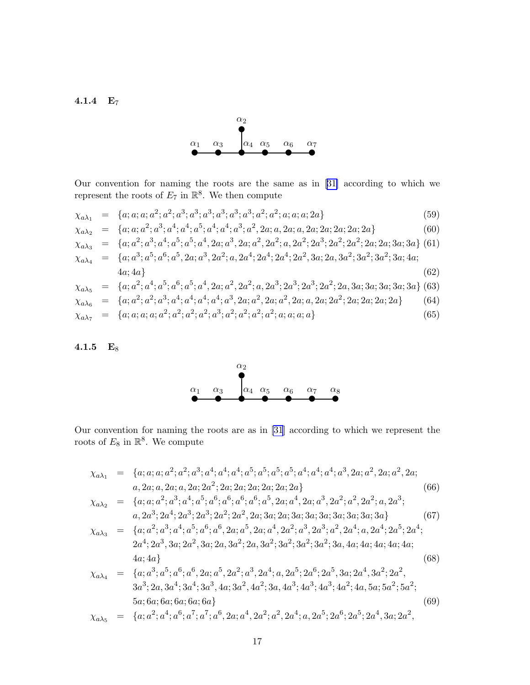<span id="page-18-0"></span>4.1.4 E<sup>7</sup>



Our convention for naming the roots are the same as in[[31\]](#page-31-0) according to which we represent the roots of  $E_7$  in  $\mathbb{R}^8$ . We then compute

$$
\chi_{a\lambda_{1}} = \{a; a; a; a^{2}; a^{3}; a^{3}; a^{3}; a^{3}; a^{3}; a^{2}; a^{2}; a; a; a; 2a\}
$$
\n
$$
\chi_{a\lambda_{2}} = \{a; a; a^{2}; a^{3}; a^{4}; a^{4}; a^{5}; a^{4}; a^{4}; a^{3}; a^{2}, 2a; a, 2a; a, 2a; 2a; 2a; 2a; 2a; 2a\}
$$
\n
$$
\chi_{a\lambda_{3}} = \{a; a^{2}; a^{3}; a^{4}; a^{5}; a^{5}; a^{4}, 2a; a^{3}, 2a; a^{2}, 2a^{2}; a, 2a^{2}; 2a^{3}; 2a^{2}; 2a^{2}; 2a; 2a; 3a; 3a\}
$$
\n
$$
\chi_{a\lambda_{4}} = \{a; a^{3}; a^{5}; a^{6}; a^{5}, 2a; a^{3}, 2a^{2}; a, 2a^{4}; 2a^{4}; 2a^{2}, 3a; 2a, 3a^{2}; 3a^{2}; 3a^{2}; 3a; 4a; 4a\}
$$
\n
$$
\chi_{a\lambda_{5}} = \{a; a^{2}; a^{4}; a^{5}; a^{6}; a^{5}; a^{4}, 2a; a^{2}, 2a^{2}; a, 2a^{3}; 2a^{3}; 2a^{2}; 2a, 3a; 3a; 3a; 3a; 3a\}
$$
\n
$$
\chi_{a\lambda_{6}} = \{a; a^{2}; a^{2}; a^{3}; a^{4}; a^{4}; a^{4}; a^{4}; a^{3}, 2a; a^{2}, 2a; a^{2}; a, 2a; 2a; 2a; 2a; 2a; 2a; 2a\}
$$
\n
$$
\chi_{a\lambda_{7}} = \{a; a; a; a; a; a^{2}; a^{2}; a^{2}; a^{2}; a^{2}; a^{2}; a^{2}; a^{2}; a; a; a; a; a; a\}
$$
\n
$$
(65)
$$

#### 4.1.5  $E_8$



Our convention for naming the roots are as in [\[31](#page-31-0)] according to which we represent the roots of  $E_8$  in  $\mathbb{R}^8$ . We compute

χaλ<sup>1</sup> = {a; a; a; a 2 ; a 2 ; a 3 ; a 4 ; a 4 ; a 4 ; a 5 ; a 5 ; a 5 ; a 5 ; a 4 ; a 4 ; a 4 ; a 3 , 2a; a 2 , 2a; a 2 , 2a; a, 2a; a, 2a; a, 2a; 2a 2 ; 2a; 2a; 2a; 2a; 2a; 2a} (66) χaλ<sup>2</sup> = {a; a; a 2 ; a 3 ; a 4 ; a 5 ; a 6 ; a 6 ; a 6 ; a 6 ; a 5 , 2a; a 4 , 2a; a 3 , 2a 2 ; a 2 , 2a 2 ; a, 2a 3 ; a, 2a 3 ; 2a 4 ; 2a 3 ; 2a 3 ; 2a 2 ; 2a 2 , 2a; 3a; 2a; 3a; 3a; 3a; 3a; 3a; 3a; 3a} (67) χaλ<sup>3</sup> = {a; a 2 ; a 3 ; a 4 ; a 5 ; a 6 ; a 6 , 2a; a 5 , 2a; a 4 , 2a 2 ; a 3 , 2a 3 ; a 2 , 2a 4 ; a, 2a 4 ; 2a 5 ; 2a 4 ; 2a 4 ; 2a 3 , 3a; 2a 2 , 3a; 2a, 3a 2 ; 2a, 3a 2 ; 3a 2 ; 3a 2 ; 3a 2 ; 3a, 4a; 4a; 4a; 4a; 4a; 4a; 4a} (68) χaλ<sup>4</sup> = {a; a 3 ; a 5 ; a 6 ; a 6 , 2a; a 5 , 2a 2 ; a 3 , 2a 4 ; a, 2a 5 ; 2a 6 ; 2a 5 , 3a; 2a 4 , 3a 2 ; 2a 2 , 3a 3 ; 2a, 3a 4 ; 3a 4 ; 3a 3 , 4a; 3a 2 , 4a 2 ; 3a, 4a 3 ; 4a 3 ; 4a 3 ; 4a 2 ; 4a, 5a; 5a 2 ; 5a 2 ; 5a; 6a; 6a; 6a; 6a; 6a} (69) χaλ<sup>5</sup> = {a; a 2 ; a 4 ; a 6 ; a 7 ; a 7 ; a 6 , 2a; a 4 , 2a 2 ; a 2 , 2a 4 ; a, 2a 5 ; 2a 6 ; 2a 5 ; 2a 4 , 3a; 2a 2 ,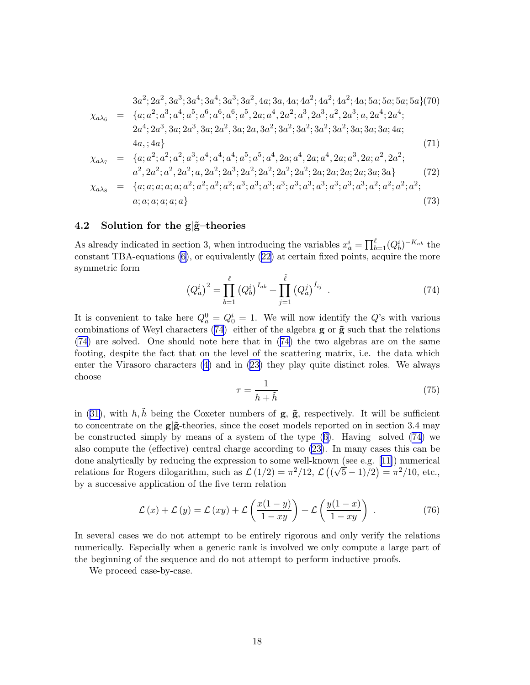<span id="page-19-0"></span>3a 2 ; 2a 2 , 3a 3 ; 3a 4 ; 3a 4 ; 3a 3 ; 3a 2 , 4a; 3a, 4a; 4a 2 ; 4a 2 ; 4a 2 ; 4a; 5a; 5a; 5a; 5a}(70) χaλ<sup>6</sup> = {a; a 2 ; a 3 ; a 4 ; a 5 ; a 6 ; a 6 ; a 6 ; a 5 , 2a; a 4 , 2a 2 ; a 3 , 2a 3 ; a 2 , 2a 3 ; a, 2a 4 ; 2a 4 ; 2a 4 ; 2a 3 , 3a; 2a 3 , 3a; 2a 2 , 3a; 2a, 3a 2 ; 3a 2 ; 3a 2 ; 3a 2 ; 3a 2 ; 3a; 3a; 3a; 4a; 4a, ; 4a} (71) χaλ<sup>7</sup> = {a; a 2 ; a 2 ; a 2 ; a 3 ; a 4 ; a 4 ; a 4 ; a 5 ; a 5 ; a 4 , 2a; a 4 , 2a; a 4 , 2a; a 3 , 2a; a 2 , 2a 2 ; a 2 , 2a 2 ; a 2 , 2a 2 ; a, 2a 2 ; 2a 3 ; 2a 2 ; 2a 2 ; 2a 2 ; 2a 2 ; 2a; 2a; 2a; 2a; 3a; 3a} (72) χaλ<sup>8</sup> = {a; a; a; a; a; a 2 ; a 2 ; a 2 ; a 2 ; a 3 ; a 3 ; a 3 ; a 3 ; a 3 ; a 3 ; a 3 ; a 3 ; a 3 ; a 3 ; a 2 ; a 2 ; a 2 ; a 2 ; a; a; a; a; a; a} (73)

#### 4.2 Solution for the  $g\tilde{g}$ -theories

As already indicated in section 3, when introducing the variables  $x_a^i = \prod_{b=1}^{\ell} (Q_b^i)^{-K_{ab}}$  the constant TBA-equations [\(6\)](#page-4-0), or equivalently [\(22\)](#page-8-0) at certain fixed points, acquire the more symmetric form

$$
(Q_a^i)^2 = \prod_{b=1}^{\ell} (Q_b^i)^{I_{ab}} + \prod_{j=1}^{\tilde{\ell}} (Q_a^j)^{\tilde{I}_{ij}} . \tag{74}
$$

It is convenient to take here  $Q_a^0 = Q_0^i = 1$ . We will now identify the Q's with various combinations of Weyl characters (74) either of the algebra  $g$  or  $\tilde{g}$  such that the relations (74) are solved. One should note here that in (74) the two algebras are on the same footing, despite the fact that on the level of the scattering matrix, i.e. the data which enter the Virasoro characters [\(4\)](#page-3-0) and in ([23\)](#page-8-0) they play quite distinct roles. We always choose

$$
\tau = \frac{1}{h + \tilde{h}}\tag{75}
$$

in ([31\)](#page-15-0), with  $h, \tilde{h}$  being the Coxeter numbers of  $g, \tilde{g}$ , respectively. It will be sufficient to concentrate on the  $g\ddot{g}$ -theories, since the coset models reported on in section 3.4 may be constructed simply by means of a system of the type ([6](#page-4-0)). Having solved (74) we also compute the (effective) central charge according to [\(23](#page-8-0)). In many cases this can be done analytically by reducing the expression to some well-known (see e.g.[[11\]](#page-30-0)) numerical relations for Rogers dilogarithm, such as  $\mathcal{L}(1/2) = \pi^2/12$ ,  $\mathcal{L}((\sqrt{5}-1)/2) = \pi^2/10$ , etc., by a successive application of the five term relation

$$
\mathcal{L}(x) + \mathcal{L}(y) = \mathcal{L}(xy) + \mathcal{L}\left(\frac{x(1-y)}{1-xy}\right) + \mathcal{L}\left(\frac{y(1-x)}{1-xy}\right) . \tag{76}
$$

In several cases we do not attempt to be entirely rigorous and only verify the relations numerically. Especially when a generic rank is involved we only compute a large part of the beginning of the sequence and do not attempt to perform inductive proofs.

We proceed case-by-case.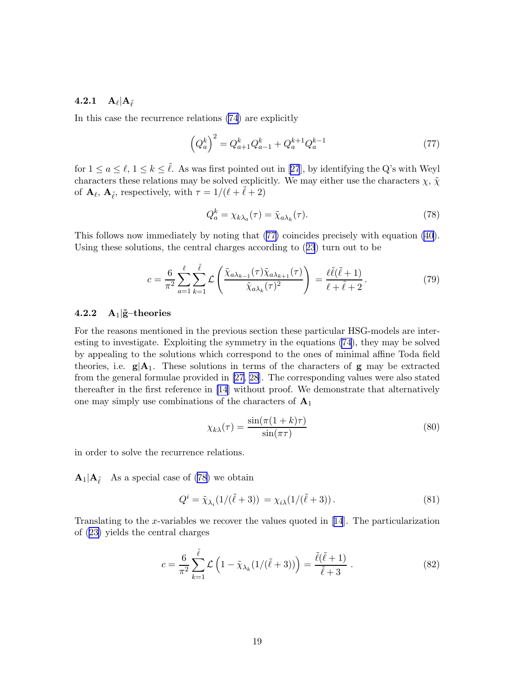## <span id="page-20-0"></span> $\mathbf{4.2.1} \quad \mathbf{A}_{\ell}|\mathbf{A}_{\tilde{\ell}}$

In this case the recurrence relations [\(74](#page-19-0)) are explicitly

$$
\left(Q_a^k\right)^2 = Q_{a+1}^k Q_{a-1}^k + Q_a^{k+1} Q_a^{k-1}
$$
\n<sup>(77)</sup>

for $1 \le a \le \ell, 1 \le k \le \tilde{\ell}$ . As was first pointed out in [[27](#page-31-0)], by identifying the Q's with Weyl characters these relations may be solved explicitly. We may either use the characters  $\chi$ ,  $\tilde{\chi}$ of  $\mathbf{A}_{\ell}$ ,  $\mathbf{A}_{\tilde{\ell}}$ , respectively, with  $\tau = 1/(\ell + \tilde{\ell} + 2)$ 

$$
Q_a^k = \chi_{k\lambda_a}(\tau) = \tilde{\chi}_{a\lambda_k}(\tau). \tag{78}
$$

This follows now immediately by noting that (77) coincides precisely with equation [\(40](#page-15-0)). Using these solutions, the central charges according to ([23](#page-8-0)) turn out to be

$$
c = \frac{6}{\pi^2} \sum_{a=1}^{\ell} \sum_{k=1}^{\tilde{\ell}} \mathcal{L}\left(\frac{\tilde{\chi}_{a\lambda_{k-1}}(\tau)\tilde{\chi}_{a\lambda_{k+1}}(\tau)}{\tilde{\chi}_{a\lambda_k}(\tau)^2}\right) = \frac{\ell\tilde{\ell}(\tilde{\ell}+1)}{\ell+\tilde{\ell}+2}.
$$
 (79)

#### 4.2.2  $A_1$   $\tilde{g}$ -theories

For the reasons mentioned in the previous section these particular HSG-models are interesting to investigate. Exploiting the symmetry in the equations [\(74](#page-19-0)), they may be solved by appealing to the solutions which correspond to the ones of minimal affine Toda field theories, i.e.  $g|A_1$ . These solutions in terms of the characters of g may be extracted from the general formulae provided in [\[27, 28\]](#page-31-0). The corresponding values were also stated thereafter in the first reference in [\[14](#page-30-0)] without proof. We demonstrate that alternatively one may simply use combinations of the characters of  $A_1$ 

$$
\chi_{k\lambda}(\tau) = \frac{\sin(\pi(1+k)\tau)}{\sin(\pi\tau)}
$$
\n(80)

in order to solve the recurrence relations.

 $\mathbf{A}_1|\mathbf{A}_{\tilde{\ell}}$  As a special case of (78) we obtain

$$
Q^i = \tilde{\chi}_{\lambda_i}(1/(\tilde{\ell}+3)) = \chi_{i\lambda}(1/(\tilde{\ell}+3)). \tag{81}
$$

Translating to the x-variables we recover the values quoted in[[14](#page-30-0)]. The particularization of ([23\)](#page-8-0) yields the central charges

$$
c = \frac{6}{\pi^2} \sum_{k=1}^{\tilde{\ell}} \mathcal{L}\left(1 - \tilde{\chi}_{\lambda_k}(1/(\tilde{\ell} + 3))\right) = \frac{\tilde{\ell}(\tilde{\ell} + 1)}{\tilde{\ell} + 3} \ . \tag{82}
$$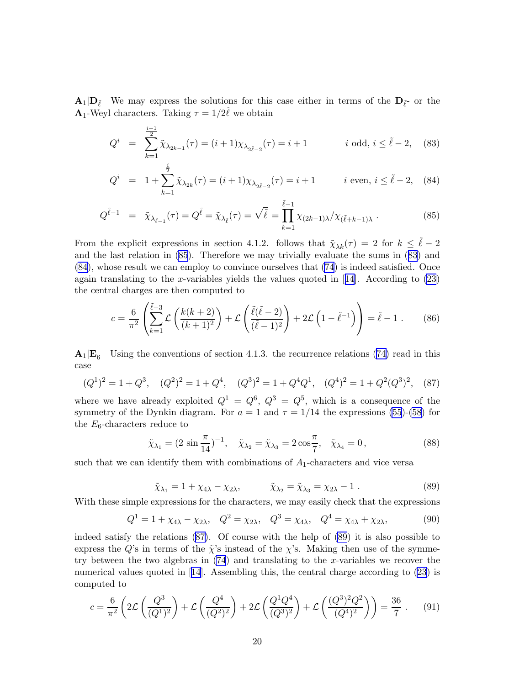$A_1|D_{\tilde{\ell}}$  We may express the solutions for this case either in terms of the  $D_{\tilde{\ell}}$  or the **A**<sub>1</sub>-Weyl characters. Taking  $\tau = 1/2\tilde{\ell}$  we obtain

$$
Q^{i} = \sum_{k=1}^{\frac{i+1}{2}} \tilde{\chi}_{\lambda_{2k-1}}(\tau) = (i+1)\chi_{\lambda_{2\tilde{\ell}-2}}(\tau) = i+1 \qquad i \text{ odd}, i \leq \tilde{\ell}-2, \quad (83)
$$

$$
Q^{i} = 1 + \sum_{k=1}^{\overline{2}} \tilde{\chi}_{\lambda_{2k}}(\tau) = (i+1)\chi_{\lambda_{2\tilde{\ell}-2}}(\tau) = i+1 \qquad i \text{ even, } i \leq \tilde{\ell} - 2, \quad (84)
$$

$$
Q^{\tilde{\ell}-1} = \tilde{\chi}_{\lambda_{\tilde{\ell}-1}}(\tau) = Q^{\tilde{\ell}} = \tilde{\chi}_{\lambda_{\tilde{\ell}}}(\tau) = \sqrt{\tilde{\ell}} = \prod_{k=1}^{\tilde{\ell}-1} \chi_{(2k-1)\lambda} / \chi_{(\tilde{\ell}+k-1)\lambda}.
$$
 (85)

From the explicit expressions in section 4.1.2. follows that  $\tilde{\chi}_{\lambda k}(\tau) = 2$  for  $k \leq \tilde{\ell} - 2$ and the last relation in (85). Therefore we may trivially evaluate the sums in (83) and (84), whose result we can employ to convince ourselves that [\(74](#page-19-0)) is indeed satisfied. Once againtranslating to the x-variables yields the values quoted in  $[14]$  $[14]$  $[14]$ . According to  $(23)$  $(23)$ the central charges are then computed to

$$
c = \frac{6}{\pi^2} \left( \sum_{k=1}^{\tilde{\ell}-3} \mathcal{L} \left( \frac{k(k+2)}{(k+1)^2} \right) + \mathcal{L} \left( \frac{\tilde{\ell}(\tilde{\ell}-2)}{(\tilde{\ell}-1)^2} \right) + 2\mathcal{L} \left( 1 - \tilde{\ell}^{-1} \right) \right) = \tilde{\ell} - 1. \tag{86}
$$

 $A_1|E_6$  Using the conventions of section 4.1.3. the recurrence relations [\(74\)](#page-19-0) read in this case

$$
(Q^1)^2 = 1 + Q^3
$$
,  $(Q^2)^2 = 1 + Q^4$ ,  $(Q^3)^2 = 1 + Q^4 Q^1$ ,  $(Q^4)^2 = 1 + Q^2 (Q^3)^2$ , (87)

where we have already exploited  $Q^1 = Q^6$ ,  $Q^3 = Q^5$ , which is a consequence of the symmetry of the Dynkin diagram. For  $a = 1$  and  $\tau = 1/14$  the expressions [\(55](#page-17-0))-[\(58](#page-17-0)) for the  $E_6$ -characters reduce to

$$
\tilde{\chi}_{\lambda_1} = (2 \sin \frac{\pi}{14})^{-1}, \quad \tilde{\chi}_{\lambda_2} = \tilde{\chi}_{\lambda_3} = 2 \cos \frac{\pi}{7}, \quad \tilde{\chi}_{\lambda_4} = 0,
$$
\n(88)

such that we can identify them with combinations of  $A_1$ -characters and vice versa

$$
\tilde{\chi}_{\lambda_1} = 1 + \chi_{4\lambda} - \chi_{2\lambda}, \qquad \tilde{\chi}_{\lambda_2} = \tilde{\chi}_{\lambda_3} = \chi_{2\lambda} - 1. \tag{89}
$$

With these simple expressions for the characters, we may easily check that the expressions

$$
Q^{1} = 1 + \chi_{4\lambda} - \chi_{2\lambda}, \quad Q^{2} = \chi_{2\lambda}, \quad Q^{3} = \chi_{4\lambda}, \quad Q^{4} = \chi_{4\lambda} + \chi_{2\lambda}, \tag{90}
$$

indeed satisfy the relations (87). Of course with the help of (89) it is also possible to express the Q's in terms of the  $\tilde{\chi}$ 's instead of the  $\chi$ 's. Making then use of the symmetry between the two algebras in  $(74)$  $(74)$  and translating to the x-variables we recover the numerical values quoted in [\[14\]](#page-30-0). Assembling this, the central charge according to [\(23](#page-8-0)) is computed to

$$
c = \frac{6}{\pi^2} \left( 2\mathcal{L} \left( \frac{Q^3}{(Q^1)^2} \right) + \mathcal{L} \left( \frac{Q^4}{(Q^2)^2} \right) + 2\mathcal{L} \left( \frac{Q^1 Q^4}{(Q^3)^2} \right) + \mathcal{L} \left( \frac{(Q^3)^2 Q^2}{(Q^4)^2} \right) \right) = \frac{36}{7} \ . \tag{91}
$$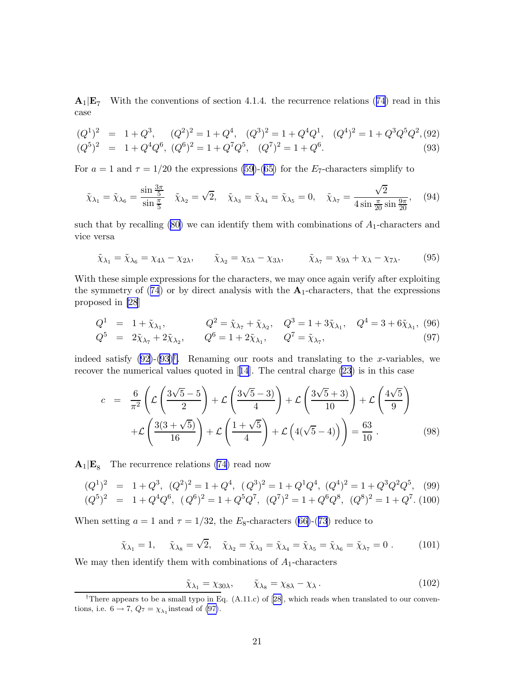<span id="page-22-0"></span> $A_1|E_7$  With the conventions of section 4.1.4. the recurrence relations ([74](#page-19-0)) read in this case

$$
(Q1)2 = 1 + Q3, (Q2)2 = 1 + Q4, (Q3)2 = 1 + Q4Q1, (Q4)2 = 1 + Q3Q5Q2, (92)(Q5)2 = 1 + Q4Q6, (Q6)2 = 1 + Q7Q5, (Q7)2 = 1 + Q6.
$$
\n(93)

For  $a = 1$  and  $\tau = 1/20$  the expressions [\(59](#page-18-0))-[\(65\)](#page-18-0) for the E<sub>7</sub>-characters simplify to

$$
\tilde{\chi}_{\lambda_1} = \tilde{\chi}_{\lambda_6} = \frac{\sin \frac{3\pi}{5}}{\sin \frac{\pi}{5}} \quad \tilde{\chi}_{\lambda_2} = \sqrt{2}, \quad \tilde{\chi}_{\lambda_3} = \tilde{\chi}_{\lambda_4} = \tilde{\chi}_{\lambda_5} = 0, \quad \tilde{\chi}_{\lambda_7} = \frac{\sqrt{2}}{4 \sin \frac{\pi}{20} \sin \frac{9\pi}{20}}, \quad (94)
$$

such that by recalling  $(80)$  we can identify them with combinations of  $A_1$ -characters and vice versa

$$
\tilde{\chi}_{\lambda_1} = \tilde{\chi}_{\lambda_6} = \chi_{4\lambda} - \chi_{2\lambda}, \qquad \tilde{\chi}_{\lambda_2} = \chi_{5\lambda} - \chi_{3\lambda}, \qquad \tilde{\chi}_{\lambda_7} = \chi_{9\lambda} + \chi_{\lambda} - \chi_{7\lambda}.
$$
 (95)

With these simple expressions for the characters, we may once again verify after exploiting the symmetry of ([74](#page-19-0)) or by direct analysis with the  $A_1$ -characters, that the expressions proposed in [\[28](#page-31-0)]

$$
Q^{1} = 1 + \tilde{\chi}_{\lambda_{1}}, \qquad Q^{2} = \tilde{\chi}_{\lambda_{7}} + \tilde{\chi}_{\lambda_{2}}, \qquad Q^{3} = 1 + 3\tilde{\chi}_{\lambda_{1}}, \qquad Q^{4} = 3 + 6\tilde{\chi}_{\lambda_{1}}, \qquad (96)
$$
  

$$
Q^{5} = 2\tilde{\chi}_{\lambda_{7}} + 2\tilde{\chi}_{\lambda_{2}}, \qquad Q^{6} = 1 + 2\tilde{\chi}_{\lambda_{1}}, \qquad Q^{7} = \tilde{\chi}_{\lambda_{7}}, \qquad (97)
$$

indeed satisfy  $(92)-(93)^{\dagger}$ . Renaming our roots and translating to the x-variables, we recover the numerical values quoted in[[14](#page-30-0)]. The central charge [\(23](#page-8-0)) is in this case

$$
c = \frac{6}{\pi^2} \left( \mathcal{L} \left( \frac{3\sqrt{5} - 5}{2} \right) + \mathcal{L} \left( \frac{3\sqrt{5} - 3}{4} \right) + \mathcal{L} \left( \frac{3\sqrt{5} + 3}{10} \right) + \mathcal{L} \left( \frac{4\sqrt{5}}{9} \right) + \mathcal{L} \left( \frac{3(3 + \sqrt{5})}{16} \right) + \mathcal{L} \left( \frac{1 + \sqrt{5}}{4} \right) + \mathcal{L} \left( 4(\sqrt{5} - 4) \right) \right) = \frac{63}{10} .
$$
 (98)

 $A_1|E_8$  The recurrence relations [\(74\)](#page-19-0) read now

$$
(Q1)2 = 1 + Q3, (Q2)2 = 1 + Q4, (Q3)2 = 1 + Q1Q4, (Q4)2 = 1 + Q3Q2Q5, (99)(Q5)2 = 1 + Q4Q6, (Q6)2 = 1 + Q5Q7, (Q7)2 = 1 + Q6Q8, (Q8)2 = 1 + Q7. (100)
$$

When setting  $a = 1$  and  $\tau = 1/32$ , the  $E_8$ -characters ([66\)](#page-18-0)-([73](#page-18-0)) reduce to

$$
\tilde{\chi}_{\lambda_1} = 1, \quad \tilde{\chi}_{\lambda_8} = \sqrt{2}, \quad \tilde{\chi}_{\lambda_2} = \tilde{\chi}_{\lambda_3} = \tilde{\chi}_{\lambda_4} = \tilde{\chi}_{\lambda_5} = \tilde{\chi}_{\lambda_6} = \tilde{\chi}_{\lambda_7} = 0. \quad (101)
$$

We may then identify them with combinations of  $A_1$ -characters

$$
\tilde{\chi}_{\lambda_1} = \chi_{30\lambda}, \qquad \tilde{\chi}_{\lambda_8} = \chi_{8\lambda} - \chi_{\lambda}.
$$
\n(102)

<sup>&</sup>lt;sup>†</sup>Thereappears to be a small typo in Eq.  $(A.11.c)$  of [[28](#page-31-0)], which reads when translated to our conventions, i.e.  $6 \rightarrow 7$ ,  $Q_7 = \chi_{\lambda_1}$  instead of (97).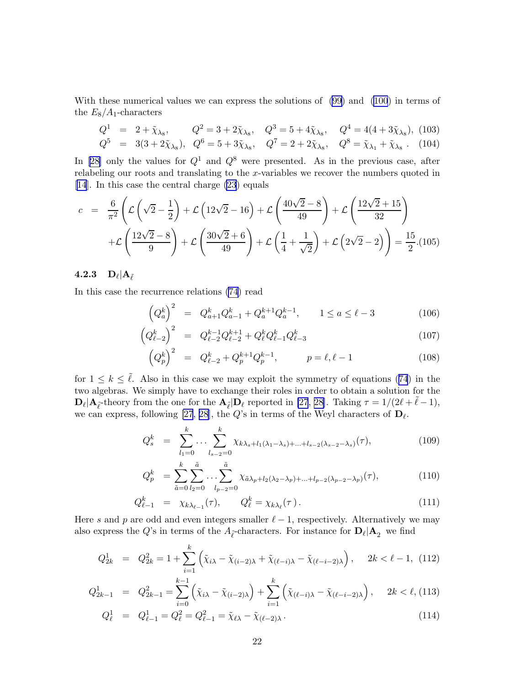With these numerical values we can express the solutions of [\(99\)](#page-22-0) and [\(100](#page-22-0)) in terms of the  $E_8/A_1$ -characters

$$
Q^{1} = 2 + \tilde{\chi}_{\lambda_{8}}, \qquad Q^{2} = 3 + 2\tilde{\chi}_{\lambda_{8}}, \qquad Q^{3} = 5 + 4\tilde{\chi}_{\lambda_{8}}, \qquad Q^{4} = 4(4 + 3\tilde{\chi}_{\lambda_{8}}), \quad (103)
$$
  

$$
Q^{5} = 3(3 + 2\tilde{\chi}_{\lambda_{8}}), \quad Q^{6} = 5 + 3\tilde{\chi}_{\lambda_{8}}, \qquad Q^{7} = 2 + 2\tilde{\chi}_{\lambda_{8}}, \qquad Q^{8} = \tilde{\chi}_{\lambda_{1}} + \tilde{\chi}_{\lambda_{8}}.
$$
 (104)

In [\[28](#page-31-0)] only the values for  $Q^1$  and  $Q^8$  were presented. As in the previous case, after relabeling our roots and translating to the x-variables we recover the numbers quoted in [\[14](#page-30-0)]. In this case the central charge [\(23](#page-8-0)) equals

$$
c = \frac{6}{\pi^2} \left( \mathcal{L} \left( \sqrt{2} - \frac{1}{2} \right) + \mathcal{L} \left( 12\sqrt{2} - 16 \right) + \mathcal{L} \left( \frac{40\sqrt{2} - 8}{49} \right) + \mathcal{L} \left( \frac{12\sqrt{2} + 15}{32} \right) + \mathcal{L} \left( \frac{12\sqrt{2} - 8}{9} \right) + \mathcal{L} \left( \frac{30\sqrt{2} + 6}{49} \right) + \mathcal{L} \left( \frac{1}{4} + \frac{1}{\sqrt{2}} \right) + \mathcal{L} \left( 2\sqrt{2} - 2 \right) \right) = \frac{15}{2} . (105)
$$

## $\bf 4.2.3\quad D_{\ell}|A_{\tilde{\ell}}$

In this case the recurrence relations [\(74](#page-19-0)) read

 $\left($ 

$$
\left(Q_a^k\right)^2 = Q_{a+1}^k Q_{a-1}^k + Q_a^{k+1} Q_a^{k-1}, \qquad 1 \le a \le \ell - 3 \tag{106}
$$

$$
\left(Q_{\ell-2}^k\right)^2 = Q_{\ell-2}^{k-1} Q_{\ell-2}^{k+1} + Q_{\ell}^k Q_{\ell-1}^k Q_{\ell-3}^k \tag{107}
$$

$$
\left(Q_p^k\right)^2 = Q_{\ell-2}^k + Q_p^{k+1} Q_p^{k-1}, \qquad p = \ell, \ell - 1 \tag{108}
$$

for  $1 \leq k \leq \tilde{\ell}$ . Also in this case we may exploit the symmetry of equations ([74](#page-19-0)) in the two algebras. We simply have to exchange their roles in order to obtain a solution for the  $\mathbf{D}_{\ell}|\mathbf{A}_{\tilde{\ell}}$ -theory from the one for the  $\mathbf{A}_{\tilde{\ell}}|\mathbf{D}_{\ell}$  reported in [\[27](#page-31-0), [28\]](#page-31-0). Taking  $\tau = 1/(2\ell + \tilde{\ell} - 1)$ , we can express, following [\[27](#page-31-0), [28\]](#page-31-0), the  $Q$ 's in terms of the Weyl characters of  $D_{\ell}$ .

$$
Q_s^k = \sum_{l_1=0}^k \dots \sum_{l_{s-2}=0}^k \chi_{k\lambda_s + l_1(\lambda_1 - \lambda_s) + \dots + l_{s-2}(\lambda_{s-2} - \lambda_s)}(\tau),
$$
\n(109)

$$
Q_p^k = \sum_{\tilde{a}=0}^k \sum_{l_2=0}^{\tilde{a}} \dots \sum_{l_{p-2}=0}^{\tilde{a}} \chi_{\tilde{a}\lambda_p + l_2(\lambda_2 - \lambda_p) + \dots + l_{p-2}(\lambda_{p-2} - \lambda_p)}(\tau),
$$
(110)

$$
Q_{\ell-1}^k = \chi_{k\lambda_{\ell-1}}(\tau), \qquad Q_{\ell}^k = \chi_{k\lambda_{\ell}}(\tau). \tag{111}
$$

Here s and p are odd and even integers smaller  $\ell - 1$ , respectively. Alternatively we may also express the  $Q$ 's in terms of the  $A_{\tilde{\ell}}$ -characters. For instance for  $D_{\ell}$  | $A_2$  we find

$$
Q_{2k}^1 = Q_{2k}^2 = 1 + \sum_{i=1}^k \left( \tilde{\chi}_{i\lambda} - \tilde{\chi}_{(i-2)\lambda} + \tilde{\chi}_{(\ell-i)\lambda} - \tilde{\chi}_{(\ell-i-2)\lambda} \right), \quad 2k < \ell - 1, \tag{112}
$$

$$
Q_{2k-1}^1 = Q_{2k-1}^2 = \sum_{i=0}^{k-1} \left( \tilde{\chi}_{i\lambda} - \tilde{\chi}_{(i-2)\lambda} \right) + \sum_{i=1}^k \left( \tilde{\chi}_{(\ell-i)\lambda} - \tilde{\chi}_{(\ell-i-2)\lambda} \right), \quad 2k < \ell, (113)
$$

$$
Q_{\ell}^{1} = Q_{\ell-1}^{1} = Q_{\ell}^{2} = Q_{\ell-1}^{2} = \tilde{\chi}_{\ell\lambda} - \tilde{\chi}_{(\ell-2)\lambda}.
$$
\n(114)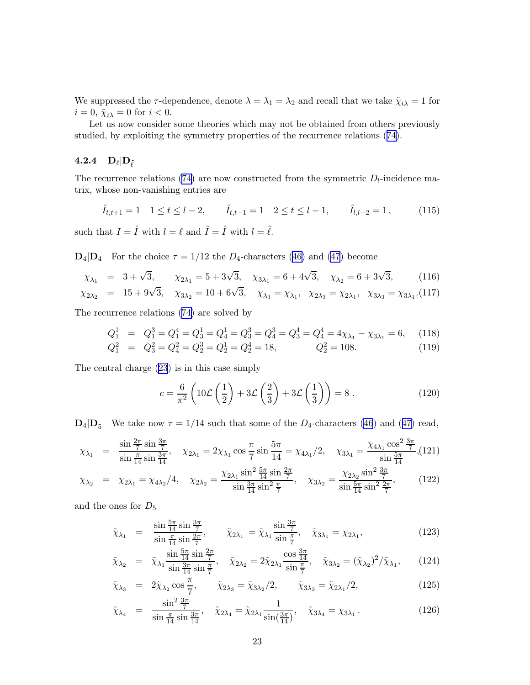We suppressed the  $\tau$ -dependence, denote  $\lambda = \lambda_1 = \lambda_2$  and recall that we take  $\tilde{\chi}_{i\lambda} = 1$  for  $i = 0$ ,  $\tilde{\chi}_{i\lambda} = 0$  for  $i < 0$ .

Let us now consider some theories which may not be obtained from others previously studied, by exploiting the symmetry properties of the recurrence relations ([74\)](#page-19-0).

## $\mathbf{4.2.4} \quad \mathbf{D}_{\ell}|\mathbf{D}_{\tilde{\ell}}$

The recurrence relations [\(74](#page-19-0)) are now constructed from the symmetric  $D_l$ -incidence matrix, whose non-vanishing entries are

$$
\hat{I}_{t,t+1} = 1 \quad 1 \le t \le l-2, \qquad \hat{I}_{t,t-1} = 1 \quad 2 \le t \le l-1, \qquad \hat{I}_{l,l-2} = 1, \tag{115}
$$

such that  $I = \hat{I}$  with  $l = \ell$  and  $\tilde{I} = \hat{I}$  with  $l = \tilde{\ell}$ .

 $\mathbf{D}_4|\mathbf{D}_4$  For the choice  $\tau = 1/12$  the  $D_4$ -characters ([46\)](#page-17-0) and [\(47](#page-17-0)) become

$$
\chi_{\lambda_1} = 3 + \sqrt{3}, \qquad \chi_{2\lambda_1} = 5 + 3\sqrt{3}, \quad \chi_{3\lambda_1} = 6 + 4\sqrt{3}, \quad \chi_{\lambda_2} = 6 + 3\sqrt{3}, \tag{116}
$$

$$
\chi_{2\lambda_2} = 15 + 9\sqrt{3}, \quad \chi_{3\lambda_2} = 10 + 6\sqrt{3}, \quad \chi_{\lambda_3} = \chi_{\lambda_1}, \quad \chi_{2\lambda_3} = \chi_{2\lambda_1}, \quad \chi_{3\lambda_3} = \chi_{3\lambda_1}. (117)
$$

The recurrence relations [\(74\)](#page-19-0) are solved by

$$
Q_1^1 = Q_1^3 = Q_1^4 = Q_3^1 = Q_4^1 = Q_3^3 = Q_4^3 = Q_4^4 = Q_4^4 = 4\chi_{\lambda_1} - \chi_{3\lambda_1} = 6,\qquad(118)
$$
  
\n
$$
Q_1^2 = Q_3^2 = Q_4^2 = Q_2^3 = Q_2^1 = Q_2^4 = 18,\qquad Q_2^2 = 108.\qquad(119)
$$

$$
Q_1^2 = Q_3^2 = Q_4^2 = Q_2^3 = Q_2^1 = Q_2^4 = 18,
$$
  $Q_2^2 = 108.$ 

The central charge [\(23\)](#page-8-0) is in this case simply

$$
c = \frac{6}{\pi^2} \left( 10 \mathcal{L} \left( \frac{1}{2} \right) + 3 \mathcal{L} \left( \frac{2}{3} \right) + 3 \mathcal{L} \left( \frac{1}{3} \right) \right) = 8 \ . \tag{120}
$$

 $\mathbf{D}_4|\mathbf{D}_5$  We take now  $\tau = 1/14$  such that some of the  $D_4$ -characters [\(46](#page-17-0)) and ([47](#page-17-0)) read,

$$
\chi_{\lambda_1} = \frac{\sin\frac{2\pi}{7}\sin\frac{3\pi}{7}}{\sin\frac{\pi}{14}\sin\frac{3\pi}{14}}, \quad \chi_{2\lambda_1} = 2\chi_{\lambda_1}\cos\frac{\pi}{7}\sin\frac{5\pi}{14} = \chi_{4\lambda_1}/2, \quad \chi_{3\lambda_1} = \frac{\chi_{4\lambda_1}\cos^2\frac{3\pi}{7}}{\sin\frac{5\pi}{14}}, (121)
$$

$$
\chi_{\lambda_2} = \chi_{2\lambda_1} = \chi_{4\lambda_2}/4, \quad \chi_{2\lambda_2} = \frac{\chi_{2\lambda_1} \sin^2 \frac{5\pi}{14} \sin \frac{2\pi}{7}}{\sin \frac{3\pi}{14} \sin^2 \frac{\pi}{7}}, \quad \chi_{3\lambda_2} = \frac{\chi_{2\lambda_2} \sin^2 \frac{3\pi}{7}}{\sin \frac{5\pi}{14} \sin^2 \frac{2\pi}{7}}, \quad (122)
$$

and the ones for  $D_5$ 

$$
\tilde{\chi}_{\lambda_1} = \frac{\sin \frac{5\pi}{14} \sin \frac{3\pi}{7}}{\sin \frac{\pi}{14} \sin \frac{2\pi}{7}}, \qquad \tilde{\chi}_{2\lambda_1} = \tilde{\chi}_{\lambda_1} \frac{\sin \frac{3\pi}{7}}{\sin \frac{\pi}{7}}, \quad \tilde{\chi}_{3\lambda_1} = \chi_{2\lambda_1}, \tag{123}
$$

$$
\tilde{\chi}_{\lambda_2} = \tilde{\chi}_{\lambda_1} \frac{\sin \frac{5\pi}{14} \sin \frac{2\pi}{7}}{\sin \frac{3\pi}{14} \sin \frac{\pi}{7}}, \quad \tilde{\chi}_{2\lambda_2} = 2\tilde{\chi}_{2\lambda_1} \frac{\cos \frac{3\pi}{14}}{\sin \frac{\pi}{7}}, \quad \tilde{\chi}_{3\lambda_2} = (\tilde{\chi}_{\lambda_2})^2 / \tilde{\chi}_{\lambda_1}, \qquad (124)
$$

$$
\tilde{\chi}_{\lambda_3} = 2\tilde{\chi}_{\lambda_2} \cos \frac{\pi}{7}, \qquad \tilde{\chi}_{2\lambda_3} = \tilde{\chi}_{3\lambda_2}/2, \qquad \tilde{\chi}_{3\lambda_3} = \tilde{\chi}_{2\lambda_1}/2,
$$
\n(125)

$$
\tilde{\chi}_{\lambda_4} = \frac{\sin^2 \frac{3\pi}{7}}{\sin \frac{\pi}{14} \sin \frac{3\pi}{14}}, \quad \tilde{\chi}_{2\lambda_4} = \tilde{\chi}_{2\lambda_1} \frac{1}{\sin(\frac{3\pi}{14})}, \quad \tilde{\chi}_{3\lambda_4} = \chi_{3\lambda_1} \,. \tag{126}
$$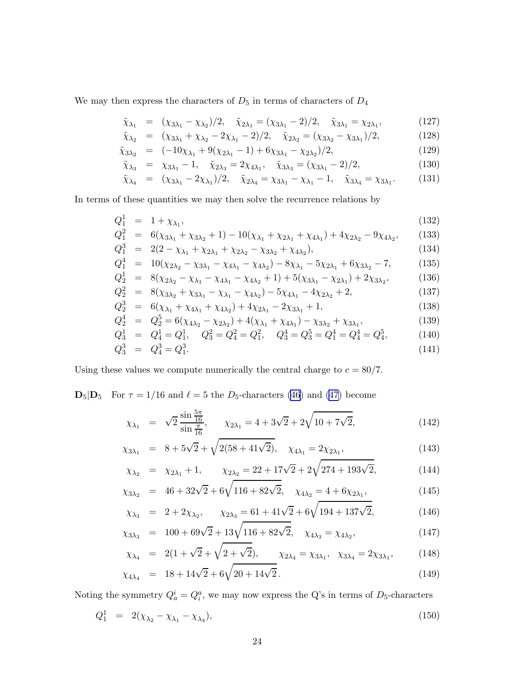We may then express the characters of  ${\cal D}_5$  in terms of characters of  ${\cal D}_4$ 

$$
\tilde{\chi}_{\lambda_1} = (\chi_{3\lambda_1} - \chi_{\lambda_2})/2, \quad \tilde{\chi}_{2\lambda_1} = (\chi_{3\lambda_1} - 2)/2, \quad \tilde{\chi}_{3\lambda_1} = \chi_{2\lambda_1}, \tag{127}
$$

$$
\tilde{\chi}_{\lambda_2} = (\chi_{3\lambda_1} + \chi_{\lambda_2} - 2\chi_{\lambda_1} - 2)/2, \quad \tilde{\chi}_{2\lambda_2} = (\chi_{3\lambda_2} - \chi_{3\lambda_1})/2,\tag{128}
$$

$$
\tilde{\chi}_{3\lambda_2} = (-10\chi_{\lambda_1} + 9(\chi_{2\lambda_1} - 1) + 6\chi_{3\lambda_1} - \chi_{2\lambda_2})/2, \tag{129}
$$

$$
\tilde{\chi}_{\lambda_3} = \chi_{3\lambda_1} - 1, \quad \tilde{\chi}_{2\lambda_3} = 2\chi_{4\lambda_1}, \quad \tilde{\chi}_{3\lambda_3} = (\chi_{3\lambda_1} - 2)/2,
$$
\n(130)

$$
\tilde{\chi}_{\lambda_4} = (\chi_{3\lambda_1} - 2\chi_{\lambda_1})/2, \quad \tilde{\chi}_{2\lambda_4} = \chi_{3\lambda_1} - \chi_{\lambda_1} - 1, \quad \tilde{\chi}_{3\lambda_4} = \chi_{3\lambda_1}.
$$
 (131)

In terms of these quantities we may then solve the recurrence relations by

$$
Q_1^1 = 1 + \chi_{\lambda_1}, \tag{132}
$$

$$
Q_1^2 = 6(\chi_{3\lambda_1} + \chi_{3\lambda_2} + 1) - 10(\chi_{\lambda_1} + \chi_{2\lambda_1} + \chi_{4\lambda_1}) + 4\chi_{2\lambda_2} - 9\chi_{4\lambda_2},
$$
 (133)

$$
Q_1^3 = 2(2 - \chi_{\lambda_1} + \chi_{2\lambda_1} + \chi_{2\lambda_2} - \chi_{3\lambda_2} + \chi_{4\lambda_2}),
$$
\n(134)  
\n
$$
Q_1^4 = 10(\chi_{\lambda_1} - \chi_{\lambda_2} - \chi_{\lambda_3} - \chi_{\lambda_4}) - 8\chi_{\lambda_1} - 5\chi_{\lambda_2} + 6\chi_{\lambda_3} - 7
$$
\n(135)

$$
Q_1^4 = 10(\chi_{2\lambda_2} - \chi_{3\lambda_1} - \chi_{4\lambda_1} - \chi_{4\lambda_2}) - 8\chi_{\lambda_1} - 5\chi_{2\lambda_1} + 6\chi_{3\lambda_2} - 7,\tag{135}
$$

$$
Q_2^1 = 8(\chi_{2\lambda_2} - \chi_{\lambda_1} - \chi_{4\lambda_1} - \chi_{4\lambda_2} + 1) + 5(\chi_{3\lambda_1} - \chi_{2\lambda_1}) + 2\chi_{3\lambda_2},
$$
(136)

$$
Q_2^2 = 8(\chi_{3\lambda_2} + \chi_{3\lambda_1} - \chi_{\lambda_1} - \chi_{4\lambda_2}) - 5\chi_{4\lambda_1} - 4\chi_{2\lambda_2} + 2,\tag{137}
$$

$$
Q_2^3 = 6(\chi_{\lambda_1} + \chi_{4\lambda_1} + \chi_{4\lambda_2}) + 4\chi_{2\lambda_1} - 2\chi_{3\lambda_1} + 1,\tag{138}
$$

$$
Q_2^4 = Q_2^5 = 6(\chi_{4\lambda_2} - \chi_{2\lambda_2}) + 4(\chi_{\lambda_1} + \chi_{4\lambda_1}) - \chi_{3\lambda_2} + \chi_{3\lambda_1},
$$
(139)

$$
Q_3^1 = Q_4^1 = Q_1^1, \quad Q_3^2 = Q_4^2 = Q_1^2, \quad Q_3^4 = Q_3^5 = Q_1^4 = Q_4^4 = Q_4^5,\tag{140}
$$

$$
Q_3^3 = Q_4^3 = Q_1^3. \tag{141}
$$

Using these values we compute numerically the central charge to  $c = 80/7$ .

 $\mathbf{D}_5|\mathbf{D}_5$  For  $\tau = 1/16$  and  $\ell = 5$  the  $D_5$ -characters [\(46\)](#page-17-0) and [\(47](#page-17-0)) become

$$
\chi_{\lambda_1} = \sqrt{2} \frac{\sin \frac{5\pi}{16}}{\sin \frac{\pi}{16}}, \qquad \chi_{2\lambda_1} = 4 + 3\sqrt{2} + 2\sqrt{10 + 7\sqrt{2}}, \tag{142}
$$

$$
\chi_{3\lambda_1} = 8 + 5\sqrt{2} + \sqrt{2(58 + 41\sqrt{2})}, \quad \chi_{4\lambda_1} = 2\chi_{2\lambda_1}, \tag{143}
$$

$$
\chi_{\lambda_2} = \chi_{2\lambda_1} + 1, \qquad \chi_{2\lambda_2} = 22 + 17\sqrt{2} + 2\sqrt{274 + 193\sqrt{2}}, \tag{144}
$$

$$
\chi_{3\lambda_2} = 46 + 32\sqrt{2} + 6\sqrt{116 + 82\sqrt{2}}, \quad \chi_{4\lambda_2} = 4 + 6\chi_{2\lambda_1}, \tag{145}
$$

$$
\chi_{\lambda_3} = 2 + 2\chi_{\lambda_2}, \quad \chi_{2\lambda_3} = 61 + 41\sqrt{2} + 6\sqrt{194 + 137\sqrt{2}}, \tag{146}
$$

$$
\chi_{3\lambda_3} = 100 + 69\sqrt{2} + 13\sqrt{116 + 82\sqrt{2}}, \quad \chi_{4\lambda_3} = \chi_{4\lambda_2}, \tag{147}
$$

$$
\chi_{\lambda_4} = 2(1 + \sqrt{2} + \sqrt{2 + \sqrt{2}}), \qquad \chi_{2\lambda_4} = \chi_{3\lambda_1}, \quad \chi_{3\lambda_4} = 2\chi_{3\lambda_1}, \tag{148}
$$

$$
\chi_{4\lambda_4} = 18 + 14\sqrt{2} + 6\sqrt{20 + 14\sqrt{2}}.
$$
\n(149)

Noting the symmetry  $Q_a^i = Q_i^a$ , we may now express the Q's in terms of  $D_5$ -characters

$$
Q_1^1 = 2(\chi_{\lambda_2} - \chi_{\lambda_1} - \chi_{\lambda_4}), \tag{150}
$$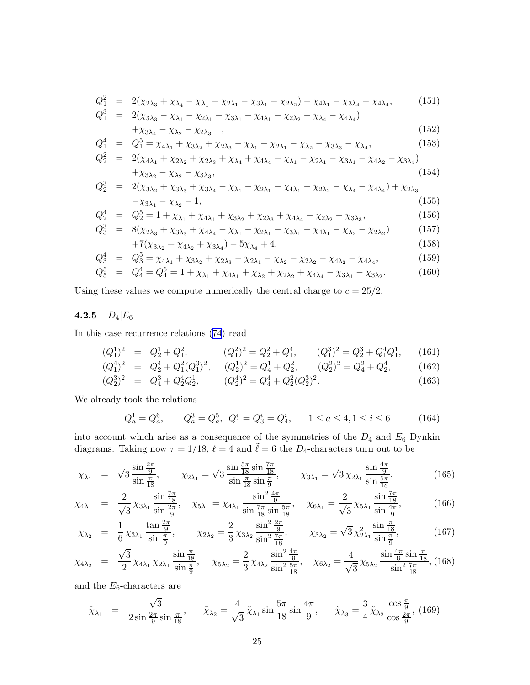<span id="page-26-0"></span>
$$
Q_1^2 = 2(\chi_{2\lambda_3} + \chi_{\lambda_4} - \chi_{\lambda_1} - \chi_{2\lambda_1} - \chi_{3\lambda_1} - \chi_{2\lambda_2}) - \chi_{4\lambda_1} - \chi_{3\lambda_4} - \chi_{4\lambda_4},
$$
(151)

$$
Q_1^3 = 2(\chi_{3\lambda_3} - \chi_{\lambda_1} - \chi_{2\lambda_1} - \chi_{3\lambda_1} - \chi_{4\lambda_1} - \chi_{2\lambda_2} - \chi_{\lambda_4} - \chi_{4\lambda_4})
$$
  
+  $\chi_{3\lambda_4} - \chi_{\lambda_2} - \chi_{2\lambda_3}$ , (152)

$$
Q_1^4 = Q_1^5 = \chi_{4\lambda_1} + \chi_{3\lambda_2} + \chi_{2\lambda_3} - \chi_{\lambda_1} - \chi_{2\lambda_1} - \chi_{\lambda_2} - \chi_{3\lambda_3} - \chi_{\lambda_4},
$$
\n(153)  
\n
$$
Q_2^2 = 2(\chi_{4\lambda_1} + \chi_{2\lambda_2} + \chi_{2\lambda_3} + \chi_{\lambda_4} + \chi_{4\lambda_5} - \chi_{\lambda_1} - \chi_{2\lambda_2} - \chi_{3\lambda_3} - \chi_{4\lambda_2} - \chi_{3\lambda_4})
$$

$$
Q_2^2 = 2(\chi_{4\lambda_1} + \chi_{2\lambda_2} + \chi_{2\lambda_3} + \chi_{\lambda_4} + \chi_{4\lambda_4} - \chi_{\lambda_1} - \chi_{2\lambda_1} - \chi_{3\lambda_1} - \chi_{4\lambda_2} - \chi_{3\lambda_4}) + \chi_{3\lambda_2} - \chi_{\lambda_2} - \chi_{3\lambda_3},
$$
\n(154)

$$
Q_2^3 = 2(\chi_{3\lambda_2} + \chi_{3\lambda_3} + \chi_{3\lambda_4} - \chi_{\lambda_1} - \chi_{2\lambda_1} - \chi_{4\lambda_1} - \chi_{2\lambda_2} - \chi_{\lambda_4} - \chi_{4\lambda_4}) + \chi_{2\lambda_3} - \chi_{3\lambda_1} - \chi_{\lambda_2} - 1,
$$
\n(155)

$$
Q_2^4 = Q_2^5 = 1 + \chi_{\lambda_1} + \chi_{4\lambda_1} + \chi_{3\lambda_2} + \chi_{2\lambda_3} + \chi_{4\lambda_4} - \chi_{2\lambda_2} - \chi_{3\lambda_3},
$$
(156)  

$$
Q_2^3 = 8(\chi_{\lambda_1} + \chi_{\lambda_2} + \chi_{\lambda_3} - \chi_{\lambda_4} - \chi_{\lambda_5} - \chi_{\lambda_6} - \chi_{\lambda_7} - \chi_{\lambda_8})
$$
(157)

$$
Q_3^3 = 8(\chi_{2\lambda_3} + \chi_{3\lambda_3} + \chi_{4\lambda_4} - \chi_{\lambda_1} - \chi_{2\lambda_1} - \chi_{3\lambda_1} - \chi_{4\lambda_1} - \chi_{\lambda_2} - \chi_{2\lambda_2})
$$
(157)  
+7(\chi\_{3\lambda\_2} + \chi\_{4\lambda\_2} + \chi\_{3\lambda\_4}) - 5\chi\_{\lambda\_4} + 4, (158)

$$
Q_3^4 = Q_3^5 = \chi_{4\lambda_1} + \chi_{3\lambda_2} + \chi_{2\lambda_3} - \chi_{2\lambda_1} - \chi_{\lambda_2} - \chi_{2\lambda_2} - \chi_{4\lambda_2} - \chi_{4\lambda_4},
$$
(159)

$$
Q_5^5 = Q_4^4 = Q_4^5 = 1 + \chi_{\lambda_1} + \chi_{4\lambda_1} + \chi_{\lambda_2} + \chi_{2\lambda_2} + \chi_{4\lambda_4} - \chi_{3\lambda_1} - \chi_{3\lambda_2}.
$$
 (160)

Using these values we compute numerically the central charge to  $c = 25/2$ .

## 4.2.5  $D_4|E_6$

In this case recurrence relations ([74](#page-19-0)) read

$$
(Q_1^1)^2 = Q_2^1 + Q_1^2, \qquad (Q_1^2)^2 = Q_2^2 + Q_1^4, \qquad (Q_1^3)^2 = Q_2^3 + Q_1^4 Q_1^1, \qquad (161)
$$

$$
(Q_1^4)^2 = Q_2^4 + Q_1^2 (Q_1^3)^2, \quad (Q_2^1)^2 = Q_4^1 + Q_2^2, \quad (Q_2^2)^2 = Q_4^2 + Q_2^4, \quad (162)
$$

$$
(Q_2^3)^2 = Q_4^3 + Q_2^4 Q_2^1, \qquad (Q_2^4)^2 = Q_4^4 + Q_2^2 (Q_2^3)^2. \tag{163}
$$

We already took the relations

$$
Q_a^1 = Q_a^6, \qquad Q_a^3 = Q_a^5, \ Q_1^i = Q_3^i = Q_4^i, \qquad 1 \le a \le 4, 1 \le i \le 6 \tag{164}
$$

into account which arise as a consequence of the symmetries of the  $D_4$  and  $E_6$  Dynkin diagrams. Taking now  $\tau = 1/18$ ,  $\ell = 4$  and  $\tilde{\ell} = 6$  the  $D_4$ -characters turn out to be

$$
\chi_{\lambda_1} = \sqrt{3} \frac{\sin \frac{2\pi}{9}}{\sin \frac{\pi}{18}}, \qquad \chi_{2\lambda_1} = \sqrt{3} \frac{\sin \frac{5\pi}{18} \sin \frac{7\pi}{18}}{\sin \frac{\pi}{18} \sin \frac{\pi}{9}}, \qquad \chi_{3\lambda_1} = \sqrt{3} \chi_{2\lambda_1} \frac{\sin \frac{4\pi}{9}}{\sin \frac{5\pi}{18}}, \tag{165}
$$

$$
\chi_{4\lambda_1} = \frac{2}{\sqrt{3}} \chi_{3\lambda_1} \frac{\sin\frac{7\pi}{18}}{\sin\frac{2\pi}{9}}, \quad \chi_{5\lambda_1} = \chi_{4\lambda_1} \frac{\sin^2\frac{4\pi}{9}}{\sin\frac{7\pi}{18}\sin\frac{5\pi}{18}}, \quad \chi_{6\lambda_1} = \frac{2}{\sqrt{3}} \chi_{5\lambda_1} \frac{\sin\frac{7\pi}{18}}{\sin\frac{4\pi}{9}}, \tag{166}
$$

$$
\chi_{\lambda_2} = \frac{1}{6} \chi_{3\lambda_1} \frac{\tan \frac{2\pi}{9}}{\sin \frac{\pi}{9}}, \qquad \chi_{2\lambda_2} = \frac{2}{3} \chi_{3\lambda_2} \frac{\sin^2 \frac{2\pi}{9}}{\sin^2 \frac{7\pi}{18}}, \qquad \chi_{3\lambda_2} = \sqrt{3} \chi_{2\lambda_1}^2 \frac{\sin \frac{\pi}{18}}{\sin \frac{\pi}{9}}, \tag{167}
$$

$$
\chi_{4\lambda_2} = \frac{\sqrt{3}}{2} \chi_{4\lambda_1} \chi_{2\lambda_1} \frac{\sin\frac{\pi}{18}}{\sin\frac{\pi}{9}}, \quad \chi_{5\lambda_2} = \frac{2}{3} \chi_{4\lambda_2} \frac{\sin^2\frac{4\pi}{9}}{\sin^2\frac{5\pi}{18}}, \quad \chi_{6\lambda_2} = \frac{4}{\sqrt{3}} \chi_{5\lambda_2} \frac{\sin\frac{4\pi}{9} \sin\frac{\pi}{18}}{\sin^2\frac{7\pi}{18}}, (168)
$$

and the  $E_6$ -characters are

$$
\tilde{\chi}_{\lambda_1} = \frac{\sqrt{3}}{2\sin\frac{2\pi}{9}\sin\frac{\pi}{18}}, \quad \tilde{\chi}_{\lambda_2} = \frac{4}{\sqrt{3}}\tilde{\chi}_{\lambda_1}\sin\frac{5\pi}{18}\sin\frac{4\pi}{9}, \quad \tilde{\chi}_{\lambda_3} = \frac{3}{4}\tilde{\chi}_{\lambda_2}\frac{\cos\frac{\pi}{9}}{\cos\frac{2\pi}{9}}, (169)
$$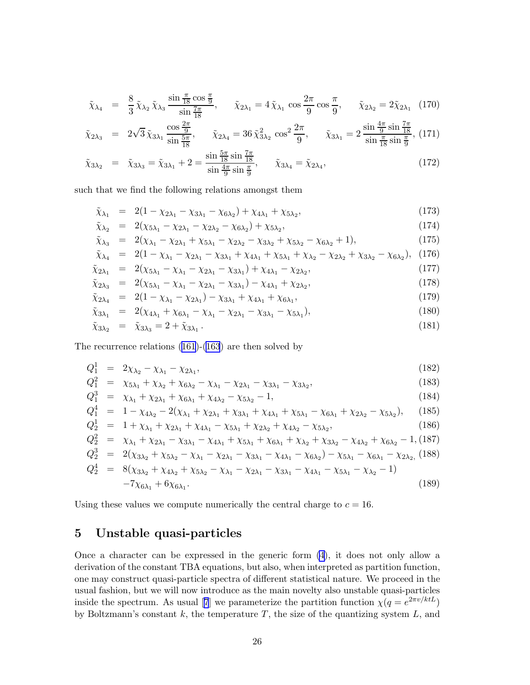$$
\tilde{\chi}_{\lambda_4} = \frac{8}{3} \tilde{\chi}_{\lambda_2} \tilde{\chi}_{\lambda_3} \frac{\sin \frac{\pi}{18} \cos \frac{\pi}{9}}{\sin \frac{7\pi}{18}}, \quad \tilde{\chi}_{2\lambda_1} = 4 \tilde{\chi}_{\lambda_1} \cos \frac{2\pi}{9} \cos \frac{\pi}{9}, \quad \tilde{\chi}_{2\lambda_2} = 2 \tilde{\chi}_{2\lambda_1} \tag{170}
$$

$$
\tilde{\chi}_{2\lambda_3} = 2\sqrt{3}\,\tilde{\chi}_{3\lambda_1} \frac{\cos\frac{2\pi}{9}}{\sin\frac{5\pi}{18}}, \qquad \tilde{\chi}_{2\lambda_4} = 36\,\tilde{\chi}_{3\lambda_2}^2 \cos^2\frac{2\pi}{9}, \qquad \tilde{\chi}_{3\lambda_1} = 2\,\frac{\sin\frac{4\pi}{9}\sin\frac{7\pi}{18}}{\sin\frac{\pi}{18}\sin\frac{\pi}{9}},\tag{171}
$$

$$
\tilde{\chi}_{3\lambda_2} = \tilde{\chi}_{3\lambda_3} = \tilde{\chi}_{3\lambda_1} + 2 = \frac{\sin \frac{5\pi}{18} \sin \frac{7\pi}{18}}{\sin \frac{4\pi}{9} \sin \frac{\pi}{9}}, \qquad \tilde{\chi}_{3\lambda_4} = \tilde{\chi}_{2\lambda_4}, \tag{172}
$$

such that we find the following relations amongst them

$$
\tilde{\chi}_{\lambda_1} = 2(1 - \chi_{2\lambda_1} - \chi_{3\lambda_1} - \chi_{6\lambda_2}) + \chi_{4\lambda_1} + \chi_{5\lambda_2}, \tag{173}
$$

$$
\tilde{\chi}_{\lambda_2} = 2(\chi_{5\lambda_1} - \chi_{2\lambda_1} - \chi_{2\lambda_2} - \chi_{6\lambda_2}) + \chi_{5\lambda_2}, \tag{174}
$$

$$
\tilde{\chi}_{\lambda_3} = 2(\chi_{\lambda_1} - \chi_{2\lambda_1} + \chi_{5\lambda_1} - \chi_{2\lambda_2} - \chi_{3\lambda_2} + \chi_{5\lambda_2} - \chi_{6\lambda_2} + 1),
$$
\n(175)

$$
\tilde{\chi}_{\lambda_4} = 2(1 - \chi_{\lambda_1} - \chi_{2\lambda_1} - \chi_{3\lambda_1} + \chi_{4\lambda_1} + \chi_{5\lambda_1} + \chi_{\lambda_2} - \chi_{2\lambda_2} + \chi_{3\lambda_2} - \chi_{6\lambda_2}), \tag{176}
$$

$$
\tilde{\chi}_{2\lambda_1} = 2(\chi_{5\lambda_1} - \chi_{\lambda_1} - \chi_{2\lambda_1} - \chi_{3\lambda_1}) + \chi_{4\lambda_1} - \chi_{2\lambda_2}, \tag{177}
$$

$$
\tilde{\chi}_{2\lambda_3} = 2(\chi_{5\lambda_1} - \chi_{\lambda_1} - \chi_{2\lambda_1} - \chi_{3\lambda_1}) - \chi_{4\lambda_1} + \chi_{2\lambda_2}, \tag{178}
$$

$$
\tilde{\chi}_{2\lambda_4} = 2(1 - \chi_{\lambda_1} - \chi_{2\lambda_1}) - \chi_{3\lambda_1} + \chi_{4\lambda_1} + \chi_{6\lambda_1},
$$
\n(179)

$$
\tilde{\chi}_{3\lambda_1} = 2(\chi_{4\lambda_1} + \chi_{6\lambda_1} - \chi_{\lambda_1} - \chi_{2\lambda_1} - \chi_{3\lambda_1} - \chi_{5\lambda_1}), \tag{180}
$$

$$
\tilde{\chi}_{3\lambda_2} = \tilde{\chi}_{3\lambda_3} = 2 + \tilde{\chi}_{3\lambda_1} \,. \tag{181}
$$

The recurrence relations [\(161](#page-26-0))-[\(163](#page-26-0)) are then solved by

$$
Q_1^1 = 2\chi_{\lambda_2} - \chi_{\lambda_1} - \chi_{2\lambda_1}, \tag{182}
$$

$$
Q_1^2 = \chi_{5\lambda_1} + \chi_{\lambda_2} + \chi_{6\lambda_2} - \chi_{\lambda_1} - \chi_{2\lambda_1} - \chi_{3\lambda_1} - \chi_{3\lambda_2},
$$
\n(183)

$$
Q_1^3 = \chi_{\lambda_1} + \chi_{2\lambda_1} + \chi_{6\lambda_1} + \chi_{4\lambda_2} - \chi_{5\lambda_2} - 1,\tag{184}
$$
\n
$$
Q_1^4 = 1 \times 2(\chi_{\lambda_1} + \chi_{\lambda_2} + \chi_{4\lambda_3} + \chi_{4\lambda_4} + \chi_{4\lambda_5} + \chi_{4\lambda_6} + \chi_{4\lambda_7} + \chi_{4\lambda_8} + \chi_{4\lambda_9} + \chi_{4\lambda_9} + \chi_{4\lambda_1} + \chi_{4\lambda_2} + \chi_{4\lambda_3} + \chi_{4\lambda_4} + \chi_{4\lambda_5} + \chi_{4\lambda_6} + \chi_{4\lambda_7} + \chi_{4\lambda_8} + \chi_{4\lambda_9} + \chi_{4\lambda_9} + \chi_{4\lambda_1} + \chi_{4\lambda_2} + \chi_{4\lambda_3} + \chi_{4\lambda_4} + \chi_{4\lambda_5} + \chi_{4\lambda_6} + \chi_{4\lambda_7} + \chi_{4\lambda_8} + \chi_{4\lambda_9} + \chi_{4\lambda_9} + \chi_{4\lambda_1} + \chi_{4\lambda_2} + \chi_{4\lambda_3} + \chi_{4\lambda_4} + \chi_{4\lambda_5} + \chi_{4\lambda_6} + \chi_{4\lambda_7} + \chi_{4\lambda_8} + \chi_{4\lambda_9} + \chi_{4\lambda_9} + \chi_{4\lambda_1} + \chi_{4\lambda_2} + \chi_{4\lambda_3} + \chi_{4\lambda_4} + \chi_{4\lambda_5} + \chi_{4\lambda_6} + \chi_{4\lambda_7} + \chi_{4\lambda_8} + \chi_{4\lambda_9} + \chi_{4\lambda_9} + \chi_{4\lambda_1} + \chi_{4\lambda_2} + \chi_{4\lambda_3} + \chi_{4\lambda_4} + \chi_{4\lambda_5} + \chi_{4\lambda_6} + \chi_{4\lambda_7} + \chi_{4\lambda_8} + \chi_{4\lambda_9} + \chi_{4\lambda_9} + \chi_{4\lambda_9} + \chi_{4\lambda_9} + \chi_{4\lambda_9} + \chi_{4\lambda_9} + \chi_{4\lambda_9} + \chi_{4\lambda_9} + \chi_{4\lambda_9} + \chi_{4\lambda
$$

$$
Q_1^4 = 1 - \chi_{4\lambda_2} - 2(\chi_{\lambda_1} + \chi_{2\lambda_1} + \chi_{3\lambda_1} + \chi_{4\lambda_1} + \chi_{5\lambda_1} - \chi_{6\lambda_1} + \chi_{2\lambda_2} - \chi_{5\lambda_2}), \quad (185)
$$

$$
Q_2^1 = 1 + \chi_{\lambda_1} + \chi_{2\lambda_1} + \chi_{4\lambda_1} - \chi_{5\lambda_1} + \chi_{2\lambda_2} + \chi_{4\lambda_2} - \chi_{5\lambda_2},
$$
\n(186)  
\n
$$
Q_2^2 = \chi_{\lambda_1} + \chi_{2\lambda_1} - \chi_{3\lambda_1} - \chi_{4\lambda_1} + \chi_{5\lambda_1} + \chi_{6\lambda_1} + \chi_{\lambda_2} + \chi_{3\lambda_2} - \chi_{4\lambda_2} + \chi_{6\lambda_2} - 1, (187)
$$
\n
$$
Q_2^3 = 2(\chi_{3\lambda_2} + \chi_{5\lambda_2} - \chi_{\lambda_1} - \chi_{2\lambda_1} - \chi_{3\lambda_1} - \chi_{4\lambda_1} - \chi_{6\lambda_2}) - \chi_{5\lambda_1} - \chi_{6\lambda_1} - \chi_{2\lambda_2},
$$
\n(188)  
\n
$$
Q_2^4 = 8(\chi_{3\lambda_2} + \chi_{4\lambda_2} + \chi_{5\lambda_2} - \chi_{\lambda_1} - \chi_{2\lambda_1} - \chi_{3\lambda_1} - \chi_{4\lambda_1} - \chi_{5\lambda_1} - \chi_{\lambda_2} - 1)
$$

$$
-7\chi_{6\lambda_1} + 6\chi_{6\lambda_1}.
$$
 (189)

Using these values we compute numerically the central charge to  $c = 16$ .

## 5 Unstable quasi-particles

Once a character can be expressed in the generic form [\(4\)](#page-3-0), it does not only allow a derivation of the constant TBA equations, but also, when interpreted as partition function, one may construct quasi-particle spectra of different statistical nature. We proceed in the usual fashion, but we will now introduce as the main novelty also unstable quasi-particles insidethe spectrum. As usual [[7](#page-30-0)] we parameterize the partition function  $\chi(q = e^{2\pi v/ktL})$ by Boltzmann's constant  $k$ , the temperature  $T$ , the size of the quantizing system  $L$ , and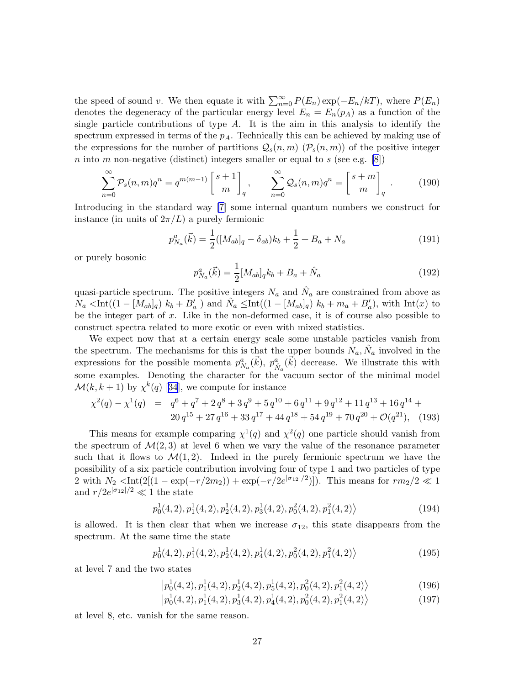the speed of sound v. We then equate it with  $\sum_{n=0}^{\infty} P(E_n) \exp(-E_n/kT)$ , where  $P(E_n)$ denotes the degeneracy of the particular energy level  $E_n = E_n(p_A)$  as a function of the single particle contributions of type  $A$ . It is the aim in this analysis to identify the spectrum expressed in terms of the  $p_A$ . Technically this can be achieved by making use of the expressions for the number of partitions  $Q_s(n,m)$  ( $P_s(n,m)$ ) of the positive integer n into m non-negative (distinct) integers smaller or equal to s (see e.g. [\[8\]](#page-30-0))

$$
\sum_{n=0}^{\infty} \mathcal{P}_s(n,m)q^n = q^{m(m-1)} \begin{bmatrix} s+1 \\ m \end{bmatrix}_q, \qquad \sum_{n=0}^{\infty} \mathcal{Q}_s(n,m)q^n = \begin{bmatrix} s+m \\ m \end{bmatrix}_q.
$$
 (190)

Introducing in the standard way [\[7\]](#page-30-0) some internal quantum numbers we construct for instance (in units of  $2\pi/L$ ) a purely fermionic

$$
p_{Na}^a(\vec{k}) = \frac{1}{2} ([M_{ab}]_q - \delta_{ab}) k_b + \frac{1}{2} + B_a + N_a \tag{191}
$$

or purely bosonic

$$
p_{N_a}^a(\vec{k}) = \frac{1}{2} [M_{ab}]_q k_b + B_a + \hat{N}_a \tag{192}
$$

quasi-particle spectrum. The positive integers  $N_a$  and  $\hat{N}_a$  are constrained from above as  $N_a \leq \text{Int}((1 - [M_{ab}]_q) k_b + B'_a)$  and  $\hat{N}_a \leq \text{Int}((1 - [M_{ab}]_q) k_b + m_a + B'_a)$ , with  $\text{Int}(x)$  to be the integer part of  $x$ . Like in the non-deformed case, it is of course also possible to construct spectra related to more exotic or even with mixed statistics.

We expect now that at a certain energy scale some unstable particles vanish from the spectrum. The mechanisms for this is that the upper bounds  $N_a, \hat{N}_a$  involved in the expressions for the possible momenta  $p_{N_a}^a(\vec{k}), p_{\hat{N}_a}^a(\vec{k})$  decrease. We illustrate this with some examples. Denoting the character for the vacuum sector of the minimal model  $\mathcal{M}(k, k+1)$  $\mathcal{M}(k, k+1)$  $\mathcal{M}(k, k+1)$  by  $\chi^k(q)$  [[34](#page-31-0)], we compute for instance

$$
\chi^{2}(q) - \chi^{1}(q) = q^{6} + q^{7} + 2 q^{8} + 3 q^{9} + 5 q^{10} + 6 q^{11} + 9 q^{12} + 11 q^{13} + 16 q^{14} + 20 q^{15} + 27 q^{16} + 33 q^{17} + 44 q^{18} + 54 q^{19} + 70 q^{20} + \mathcal{O}(q^{21}),
$$
 (193)

This means for example comparing  $\chi^1(q)$  and  $\chi^2(q)$  one particle should vanish from the spectrum of  $\mathcal{M}(2,3)$  at level 6 when we vary the value of the resonance parameter such that it flows to  $\mathcal{M}(1,2)$ . Indeed in the purely fermionic spectrum we have the possibility of a six particle contribution involving four of type 1 and two particles of type 2 with  $N_2 < \text{Int}(2[(1 - \exp(-r/2m_2)) + \exp(-r/2e^{|\sigma_{12}|/2})])$ . This means for  $rm_2/2 \ll 1$ and  $r/2e^{|\sigma_{12}|/2} \ll 1$  the state

$$
\left| p_0^1(4,2), p_1^1(4,2), p_2^1(4,2), p_3^1(4,2), p_0^2(4,2), p_1^2(4,2) \right\rangle \tag{194}
$$

is allowed. It is then clear that when we increase  $\sigma_{12}$ , this state disappears from the spectrum. At the same time the state

$$
\left| p_0^1(4,2), p_1^1(4,2), p_2^1(4,2), p_4^1(4,2), p_0^2(4,2), p_1^2(4,2) \right\rangle \tag{195}
$$

at level 7 and the two states

$$
\left| p_0^1(4,2), p_1^1(4,2), p_2^1(4,2), p_5^1(4,2), p_0^2(4,2), p_1^2(4,2) \right\rangle \tag{196}
$$

 $|p_0^1(4,2), p_1^1(4,2), p_3^1(4,2), p_4^1(4,2), p_0^2(4,2), p_1^2(4,2)\rangle$ (197)

at level 8, etc. vanish for the same reason.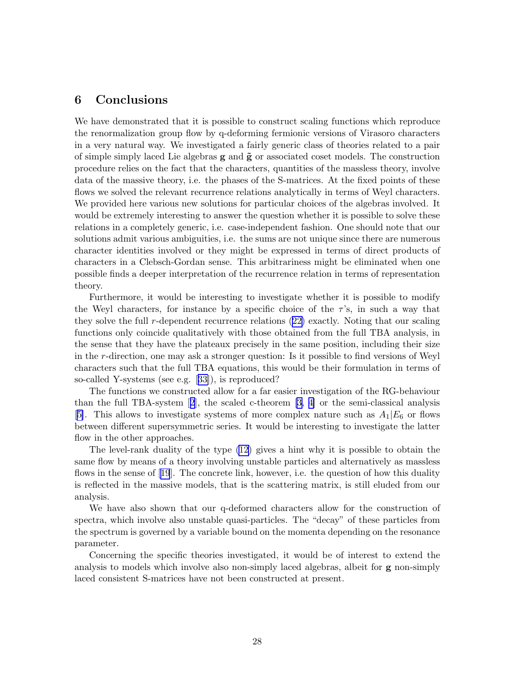## 6 Conclusions

We have demonstrated that it is possible to construct scaling functions which reproduce the renormalization group flow by q-deforming fermionic versions of Virasoro characters in a very natural way. We investigated a fairly generic class of theories related to a pair of simple simply laced Lie algebras  $g$  and  $\tilde{g}$  or associated coset models. The construction procedure relies on the fact that the characters, quantities of the massless theory, involve data of the massive theory, i.e. the phases of the S-matrices. At the fixed points of these flows we solved the relevant recurrence relations analytically in terms of Weyl characters. We provided here various new solutions for particular choices of the algebras involved. It would be extremely interesting to answer the question whether it is possible to solve these relations in a completely generic, i.e. case-independent fashion. One should note that our solutions admit various ambiguities, i.e. the sums are not unique since there are numerous character identities involved or they might be expressed in terms of direct products of characters in a Clebsch-Gordan sense. This arbitrariness might be eliminated when one possible finds a deeper interpretation of the recurrence relation in terms of representation theory.

Furthermore, it would be interesting to investigate whether it is possible to modify the Weyl characters, for instance by a specific choice of the  $\tau$ 's, in such a way that they solve the full r-dependent recurrence relations ([22\)](#page-8-0) exactly. Noting that our scaling functions only coincide qualitatively with those obtained from the full TBA analysis, in the sense that they have the plateaux precisely in the same position, including their size in the r-direction, one may ask a stronger question: Is it possible to find versions of Weyl characters such that the full TBA equations, this would be their formulation in terms of so-called Y-systems (see e.g.[[33\]](#page-31-0)), is reproduced?

The functions we constructed allow for a far easier investigation of the RG-behaviour thanthe full TBA-system  $[2]$  $[2]$  $[2]$ , the scaled c-theorem  $[3, 4]$  or the semi-classical analysis [\[5\]](#page-30-0). This allows to investigate systems of more complex nature such as  $A_1|E_6$  or flows between different supersymmetric series. It would be interesting to investigate the latter flow in the other approaches.

The level-rank duality of the type [\(12](#page-6-0)) gives a hint why it is possible to obtain the same flow by means of a theory involving unstable particles and alternatively as massless flowsin the sense of [[19](#page-31-0)]. The concrete link, however, i.e. the question of how this duality is reflected in the massive models, that is the scattering matrix, is still eluded from our analysis.

We have also shown that our q-deformed characters allow for the construction of spectra, which involve also unstable quasi-particles. The "decay" of these particles from the spectrum is governed by a variable bound on the momenta depending on the resonance parameter.

Concerning the specific theories investigated, it would be of interest to extend the analysis to models which involve also non-simply laced algebras, albeit for g non-simply laced consistent S-matrices have not been constructed at present.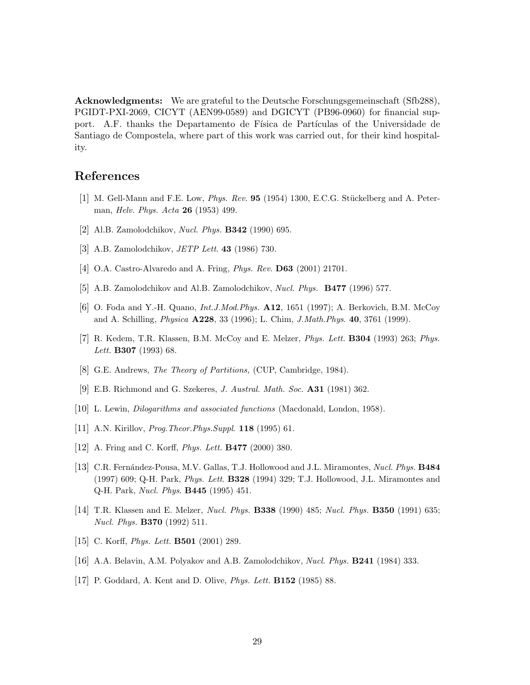<span id="page-30-0"></span>Acknowledgments: We are grateful to the Deutsche Forschungsgemeinschaft (Sfb288), PGIDT-PXI-2069, CICYT (AEN99-0589) and DGICYT (PB96-0960) for financial support. A.F. thanks the Departamento de Física de Partículas of the Universidade de Santiago de Compostela, where part of this work was carried out, for their kind hospitality.

## References

- [1] M. Gell-Mann and F.E. Low, *Phys. Rev.*  $95$  (1954) 1300, E.C.G. Stückelberg and A. Peterman, Helv. Phys. Acta 26 (1953) 499.
- [2] Al.B. Zamolodchikov, Nucl. Phys. B342 (1990) 695.
- [3] A.B. Zamolodchikov, *JETP Lett.* **43** (1986) 730.
- [4] O.A. Castro-Alvaredo and A. Fring, *Phys. Rev.* **D63** (2001) 21701.
- [5] A.B. Zamolodchikov and Al.B. Zamolodchikov, Nucl. Phys. B477 (1996) 577.
- [6] O. Foda and Y.-H. Quano, Int.J.Mod.Phys. A12, 1651 (1997); A. Berkovich, B.M. McCoy and A. Schilling, Physica A228, 33 (1996); L. Chim, J.Math.Phys. 40, 3761 (1999).
- [7] R. Kedem, T.R. Klassen, B.M. McCoy and E. Melzer, Phys. Lett. B304 (1993) 263; Phys. Lett. **B307** (1993) 68.
- [8] G.E. Andrews, *The Theory of Partitions*, (CUP, Cambridge, 1984).
- [9] E.B. Richmond and G. Szekeres, J. Austral. Math. Soc. A31 (1981) 362.
- [10] L. Lewin, Dilogarithms and associated functions (Macdonald, London, 1958).
- [11] A.N. Kirillov, *Prog. Theor. Phys. Suppl.* **118** (1995) 61.
- [12] A. Fring and C. Korff, Phys. Lett. B477 (2000) 380.
- [13] C.R. Fernández-Pousa, M.V. Gallas, T.J. Hollowood and J.L. Miramontes, *Nucl. Phys.* **B484** (1997) 609; Q-H. Park, Phys. Lett. B328 (1994) 329; T.J. Hollowood, J.L. Miramontes and Q-H. Park, Nucl. Phys. B445 (1995) 451.
- [14] T.R. Klassen and E. Melzer, Nucl. Phys. B338 (1990) 485; Nucl. Phys. B350 (1991) 635; Nucl. Phys. B370 (1992) 511.
- [15] C. Korff, *Phys. Lett.* **B501** (2001) 289.
- [16] A.A. Belavin, A.M. Polyakov and A.B. Zamolodchikov, Nucl. Phys. B241 (1984) 333.
- [17] P. Goddard, A. Kent and D. Olive, Phys. Lett. B152 (1985) 88.